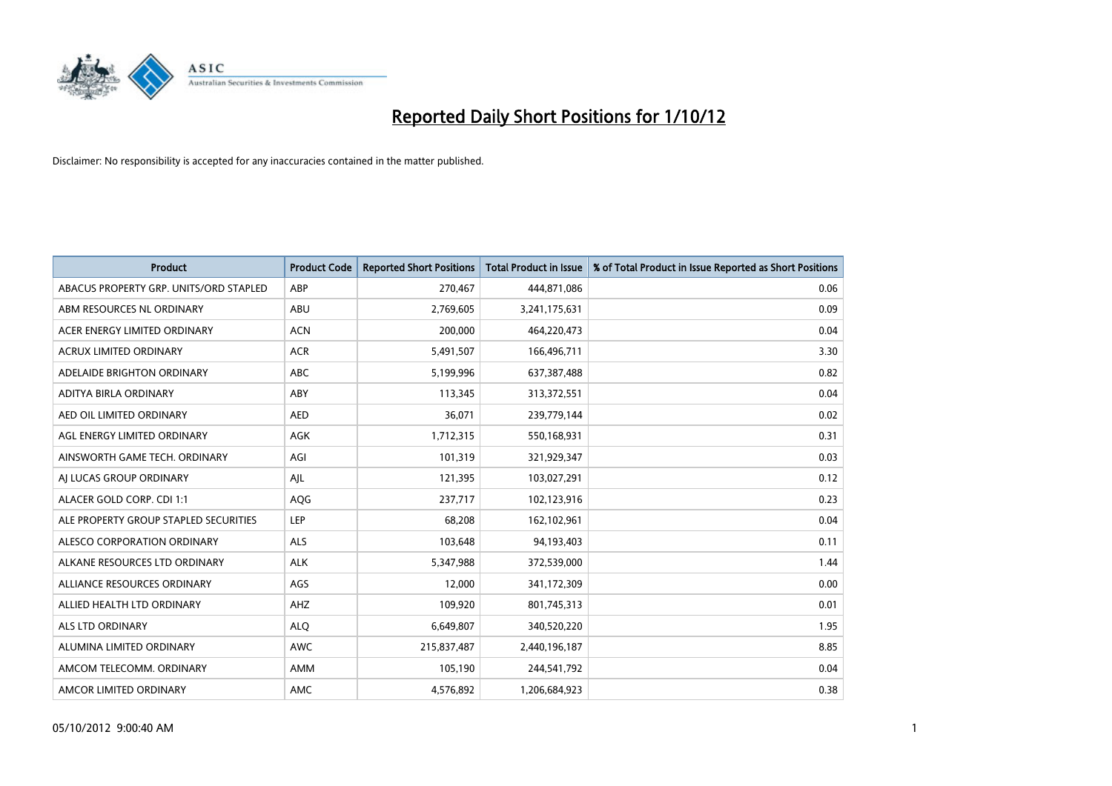

| <b>Product</b>                         | <b>Product Code</b> | <b>Reported Short Positions</b> | <b>Total Product in Issue</b> | % of Total Product in Issue Reported as Short Positions |
|----------------------------------------|---------------------|---------------------------------|-------------------------------|---------------------------------------------------------|
| ABACUS PROPERTY GRP. UNITS/ORD STAPLED | ABP                 | 270,467                         | 444,871,086                   | 0.06                                                    |
| ABM RESOURCES NL ORDINARY              | ABU                 | 2,769,605                       | 3,241,175,631                 | 0.09                                                    |
| ACER ENERGY LIMITED ORDINARY           | <b>ACN</b>          | 200,000                         | 464,220,473                   | 0.04                                                    |
| ACRUX LIMITED ORDINARY                 | <b>ACR</b>          | 5,491,507                       | 166,496,711                   | 3.30                                                    |
| ADELAIDE BRIGHTON ORDINARY             | <b>ABC</b>          | 5,199,996                       | 637,387,488                   | 0.82                                                    |
| ADITYA BIRLA ORDINARY                  | ABY                 | 113,345                         | 313,372,551                   | 0.04                                                    |
| AED OIL LIMITED ORDINARY               | <b>AED</b>          | 36,071                          | 239,779,144                   | 0.02                                                    |
| AGL ENERGY LIMITED ORDINARY            | AGK                 | 1,712,315                       | 550,168,931                   | 0.31                                                    |
| AINSWORTH GAME TECH. ORDINARY          | AGI                 | 101,319                         | 321,929,347                   | 0.03                                                    |
| AI LUCAS GROUP ORDINARY                | AJL                 | 121,395                         | 103,027,291                   | 0.12                                                    |
| ALACER GOLD CORP. CDI 1:1              | AQG                 | 237,717                         | 102,123,916                   | 0.23                                                    |
| ALE PROPERTY GROUP STAPLED SECURITIES  | LEP                 | 68,208                          | 162,102,961                   | 0.04                                                    |
| ALESCO CORPORATION ORDINARY            | <b>ALS</b>          | 103,648                         | 94,193,403                    | 0.11                                                    |
| ALKANE RESOURCES LTD ORDINARY          | <b>ALK</b>          | 5,347,988                       | 372,539,000                   | 1.44                                                    |
| ALLIANCE RESOURCES ORDINARY            | AGS                 | 12,000                          | 341,172,309                   | 0.00                                                    |
| ALLIED HEALTH LTD ORDINARY             | AHZ                 | 109,920                         | 801,745,313                   | 0.01                                                    |
| <b>ALS LTD ORDINARY</b>                | <b>ALO</b>          | 6,649,807                       | 340,520,220                   | 1.95                                                    |
| ALUMINA LIMITED ORDINARY               | <b>AWC</b>          | 215,837,487                     | 2,440,196,187                 | 8.85                                                    |
| AMCOM TELECOMM. ORDINARY               | AMM                 | 105,190                         | 244,541,792                   | 0.04                                                    |
| AMCOR LIMITED ORDINARY                 | AMC                 | 4,576,892                       | 1,206,684,923                 | 0.38                                                    |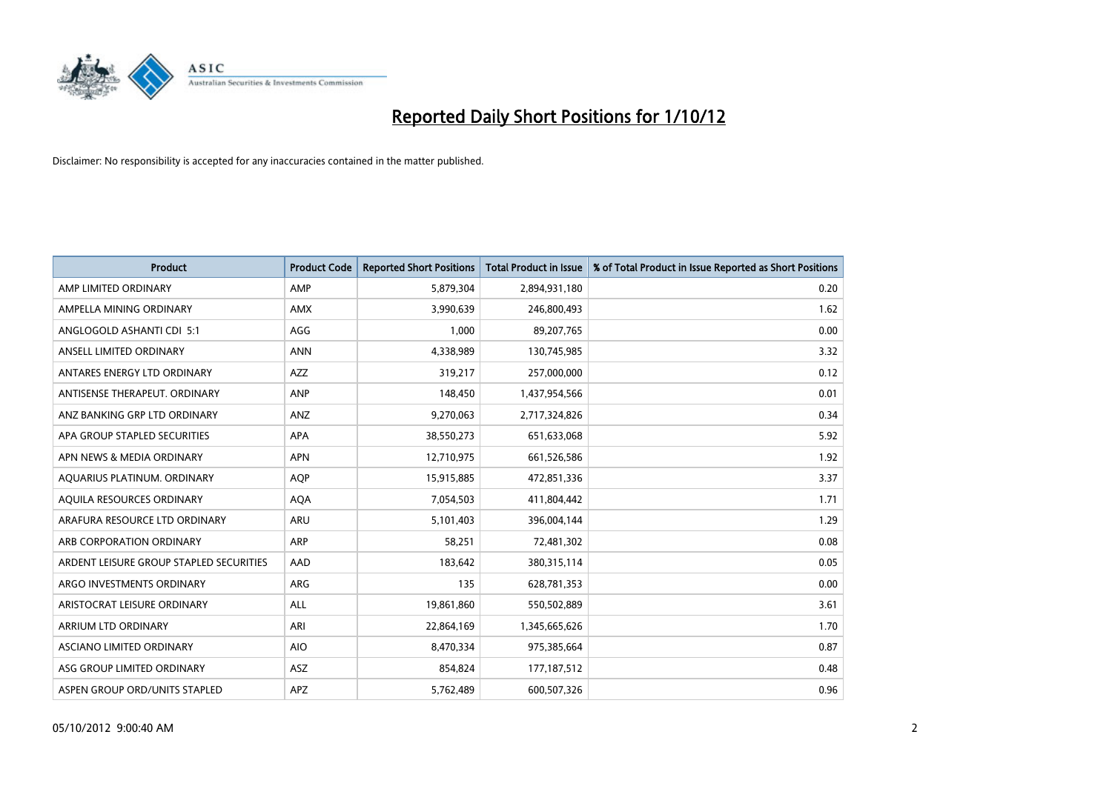

| <b>Product</b>                          | <b>Product Code</b> | <b>Reported Short Positions</b> | <b>Total Product in Issue</b> | % of Total Product in Issue Reported as Short Positions |
|-----------------------------------------|---------------------|---------------------------------|-------------------------------|---------------------------------------------------------|
| AMP LIMITED ORDINARY                    | AMP                 | 5,879,304                       | 2,894,931,180                 | 0.20                                                    |
| AMPELLA MINING ORDINARY                 | <b>AMX</b>          | 3,990,639                       | 246,800,493                   | 1.62                                                    |
| ANGLOGOLD ASHANTI CDI 5:1               | AGG                 | 1,000                           | 89,207,765                    | 0.00                                                    |
| ANSELL LIMITED ORDINARY                 | <b>ANN</b>          | 4,338,989                       | 130,745,985                   | 3.32                                                    |
| ANTARES ENERGY LTD ORDINARY             | <b>AZZ</b>          | 319,217                         | 257,000,000                   | 0.12                                                    |
| ANTISENSE THERAPEUT, ORDINARY           | <b>ANP</b>          | 148,450                         | 1,437,954,566                 | 0.01                                                    |
| ANZ BANKING GRP LTD ORDINARY            | ANZ                 | 9,270,063                       | 2,717,324,826                 | 0.34                                                    |
| APA GROUP STAPLED SECURITIES            | <b>APA</b>          | 38,550,273                      | 651,633,068                   | 5.92                                                    |
| APN NEWS & MEDIA ORDINARY               | <b>APN</b>          | 12,710,975                      | 661,526,586                   | 1.92                                                    |
| AQUARIUS PLATINUM. ORDINARY             | <b>AOP</b>          | 15,915,885                      | 472,851,336                   | 3.37                                                    |
| AQUILA RESOURCES ORDINARY               | <b>AQA</b>          | 7,054,503                       | 411,804,442                   | 1.71                                                    |
| ARAFURA RESOURCE LTD ORDINARY           | <b>ARU</b>          | 5,101,403                       | 396,004,144                   | 1.29                                                    |
| ARB CORPORATION ORDINARY                | <b>ARP</b>          | 58,251                          | 72,481,302                    | 0.08                                                    |
| ARDENT LEISURE GROUP STAPLED SECURITIES | AAD                 | 183,642                         | 380, 315, 114                 | 0.05                                                    |
| ARGO INVESTMENTS ORDINARY               | <b>ARG</b>          | 135                             | 628,781,353                   | 0.00                                                    |
| ARISTOCRAT LEISURE ORDINARY             | ALL                 | 19,861,860                      | 550,502,889                   | 3.61                                                    |
| ARRIUM LTD ORDINARY                     | ARI                 | 22,864,169                      | 1,345,665,626                 | 1.70                                                    |
| ASCIANO LIMITED ORDINARY                | <b>AIO</b>          | 8,470,334                       | 975,385,664                   | 0.87                                                    |
| ASG GROUP LIMITED ORDINARY              | <b>ASZ</b>          | 854,824                         | 177, 187, 512                 | 0.48                                                    |
| ASPEN GROUP ORD/UNITS STAPLED           | <b>APZ</b>          | 5,762,489                       | 600,507,326                   | 0.96                                                    |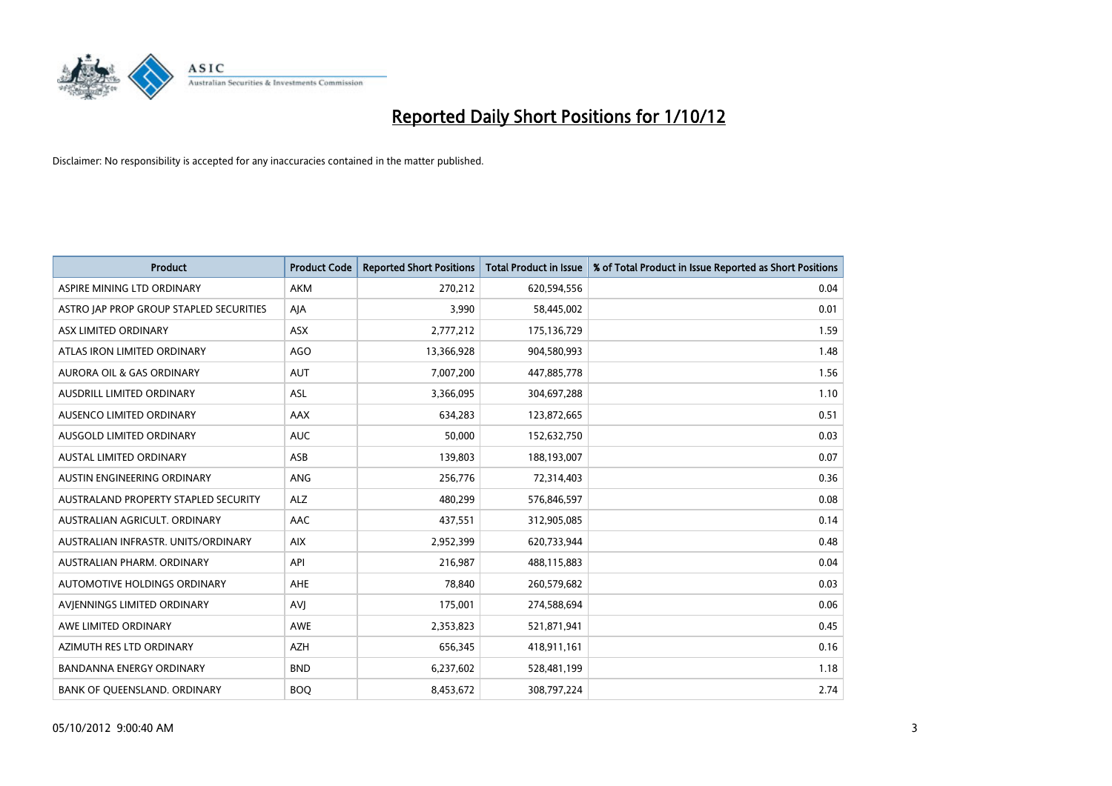

| <b>Product</b>                          | <b>Product Code</b> | <b>Reported Short Positions</b> | <b>Total Product in Issue</b> | % of Total Product in Issue Reported as Short Positions |
|-----------------------------------------|---------------------|---------------------------------|-------------------------------|---------------------------------------------------------|
| ASPIRE MINING LTD ORDINARY              | <b>AKM</b>          | 270,212                         | 620,594,556                   | 0.04                                                    |
| ASTRO JAP PROP GROUP STAPLED SECURITIES | AJA                 | 3,990                           | 58,445,002                    | 0.01                                                    |
| ASX LIMITED ORDINARY                    | <b>ASX</b>          | 2,777,212                       | 175,136,729                   | 1.59                                                    |
| ATLAS IRON LIMITED ORDINARY             | AGO                 | 13,366,928                      | 904,580,993                   | 1.48                                                    |
| <b>AURORA OIL &amp; GAS ORDINARY</b>    | <b>AUT</b>          | 7,007,200                       | 447,885,778                   | 1.56                                                    |
| AUSDRILL LIMITED ORDINARY               | <b>ASL</b>          | 3,366,095                       | 304,697,288                   | 1.10                                                    |
| AUSENCO LIMITED ORDINARY                | AAX                 | 634,283                         | 123,872,665                   | 0.51                                                    |
| <b>AUSGOLD LIMITED ORDINARY</b>         | <b>AUC</b>          | 50,000                          | 152,632,750                   | 0.03                                                    |
| <b>AUSTAL LIMITED ORDINARY</b>          | ASB                 | 139,803                         | 188,193,007                   | 0.07                                                    |
| AUSTIN ENGINEERING ORDINARY             | <b>ANG</b>          | 256,776                         | 72,314,403                    | 0.36                                                    |
| AUSTRALAND PROPERTY STAPLED SECURITY    | <b>ALZ</b>          | 480,299                         | 576,846,597                   | 0.08                                                    |
| AUSTRALIAN AGRICULT. ORDINARY           | AAC                 | 437,551                         | 312,905,085                   | 0.14                                                    |
| AUSTRALIAN INFRASTR, UNITS/ORDINARY     | <b>AIX</b>          | 2,952,399                       | 620,733,944                   | 0.48                                                    |
| AUSTRALIAN PHARM, ORDINARY              | API                 | 216,987                         | 488,115,883                   | 0.04                                                    |
| AUTOMOTIVE HOLDINGS ORDINARY            | <b>AHE</b>          | 78,840                          | 260,579,682                   | 0.03                                                    |
| AVJENNINGS LIMITED ORDINARY             | <b>AVJ</b>          | 175,001                         | 274,588,694                   | 0.06                                                    |
| AWE LIMITED ORDINARY                    | AWE                 | 2,353,823                       | 521,871,941                   | 0.45                                                    |
| AZIMUTH RES LTD ORDINARY                | <b>AZH</b>          | 656,345                         | 418,911,161                   | 0.16                                                    |
| <b>BANDANNA ENERGY ORDINARY</b>         | <b>BND</b>          | 6,237,602                       | 528,481,199                   | 1.18                                                    |
| BANK OF QUEENSLAND. ORDINARY            | <b>BOQ</b>          | 8,453,672                       | 308,797,224                   | 2.74                                                    |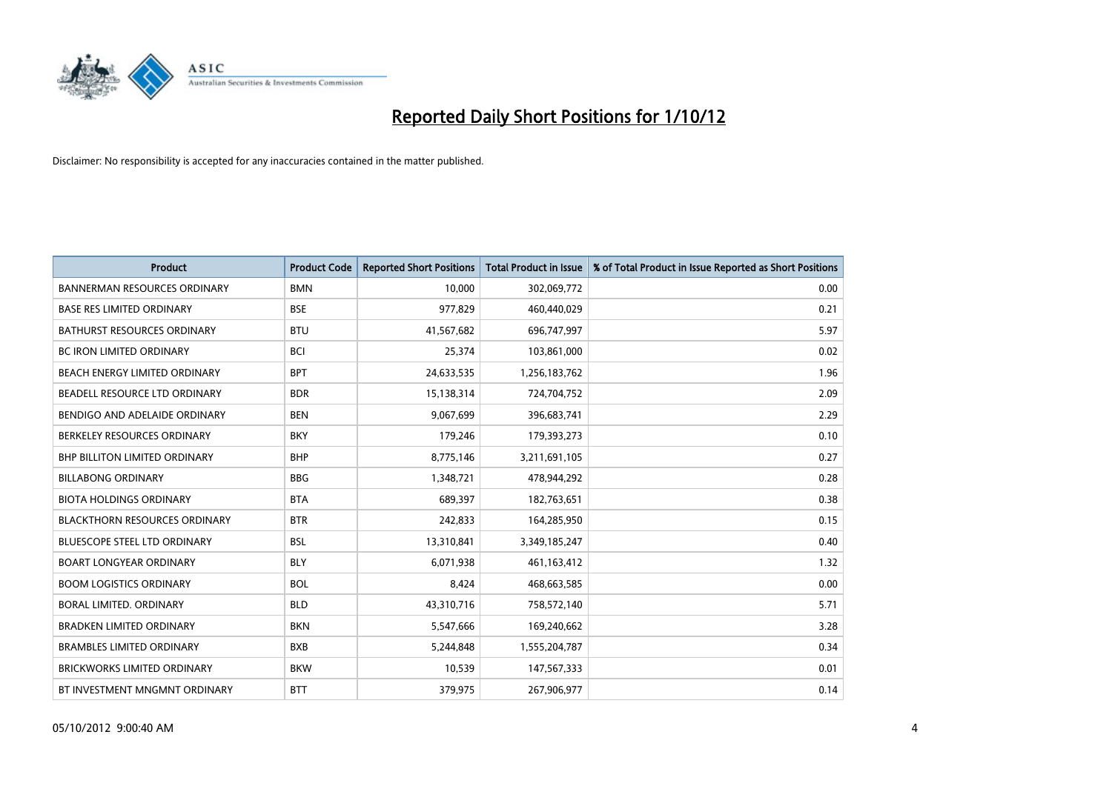

| <b>Product</b>                       | <b>Product Code</b> | <b>Reported Short Positions</b> | <b>Total Product in Issue</b> | % of Total Product in Issue Reported as Short Positions |
|--------------------------------------|---------------------|---------------------------------|-------------------------------|---------------------------------------------------------|
| <b>BANNERMAN RESOURCES ORDINARY</b>  | <b>BMN</b>          | 10.000                          | 302,069,772                   | 0.00                                                    |
| <b>BASE RES LIMITED ORDINARY</b>     | <b>BSE</b>          | 977,829                         | 460,440,029                   | 0.21                                                    |
| <b>BATHURST RESOURCES ORDINARY</b>   | <b>BTU</b>          | 41,567,682                      | 696,747,997                   | 5.97                                                    |
| <b>BC IRON LIMITED ORDINARY</b>      | <b>BCI</b>          | 25,374                          | 103,861,000                   | 0.02                                                    |
| <b>BEACH ENERGY LIMITED ORDINARY</b> | <b>BPT</b>          | 24,633,535                      | 1,256,183,762                 | 1.96                                                    |
| BEADELL RESOURCE LTD ORDINARY        | <b>BDR</b>          | 15,138,314                      | 724,704,752                   | 2.09                                                    |
| BENDIGO AND ADELAIDE ORDINARY        | <b>BEN</b>          | 9,067,699                       | 396,683,741                   | 2.29                                                    |
| BERKELEY RESOURCES ORDINARY          | <b>BKY</b>          | 179,246                         | 179,393,273                   | 0.10                                                    |
| <b>BHP BILLITON LIMITED ORDINARY</b> | <b>BHP</b>          | 8,775,146                       | 3,211,691,105                 | 0.27                                                    |
| <b>BILLABONG ORDINARY</b>            | <b>BBG</b>          | 1,348,721                       | 478,944,292                   | 0.28                                                    |
| <b>BIOTA HOLDINGS ORDINARY</b>       | <b>BTA</b>          | 689,397                         | 182,763,651                   | 0.38                                                    |
| <b>BLACKTHORN RESOURCES ORDINARY</b> | <b>BTR</b>          | 242,833                         | 164,285,950                   | 0.15                                                    |
| <b>BLUESCOPE STEEL LTD ORDINARY</b>  | <b>BSL</b>          | 13,310,841                      | 3,349,185,247                 | 0.40                                                    |
| <b>BOART LONGYEAR ORDINARY</b>       | <b>BLY</b>          | 6,071,938                       | 461,163,412                   | 1.32                                                    |
| <b>BOOM LOGISTICS ORDINARY</b>       | <b>BOL</b>          | 8,424                           | 468,663,585                   | 0.00                                                    |
| BORAL LIMITED, ORDINARY              | <b>BLD</b>          | 43,310,716                      | 758,572,140                   | 5.71                                                    |
| <b>BRADKEN LIMITED ORDINARY</b>      | <b>BKN</b>          | 5,547,666                       | 169,240,662                   | 3.28                                                    |
| <b>BRAMBLES LIMITED ORDINARY</b>     | <b>BXB</b>          | 5,244,848                       | 1,555,204,787                 | 0.34                                                    |
| <b>BRICKWORKS LIMITED ORDINARY</b>   | <b>BKW</b>          | 10,539                          | 147,567,333                   | 0.01                                                    |
| BT INVESTMENT MNGMNT ORDINARY        | <b>BTT</b>          | 379,975                         | 267,906,977                   | 0.14                                                    |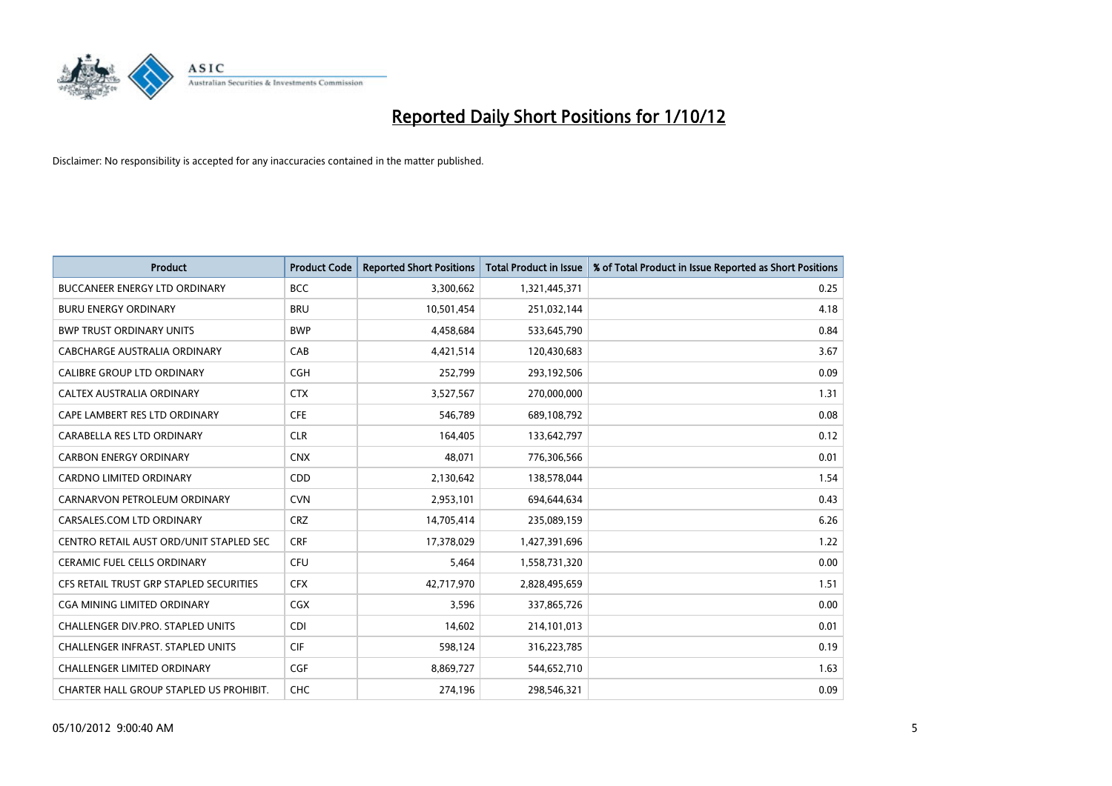

| <b>Product</b>                           | <b>Product Code</b> | <b>Reported Short Positions</b> | <b>Total Product in Issue</b> | % of Total Product in Issue Reported as Short Positions |
|------------------------------------------|---------------------|---------------------------------|-------------------------------|---------------------------------------------------------|
| <b>BUCCANEER ENERGY LTD ORDINARY</b>     | <b>BCC</b>          | 3,300,662                       | 1,321,445,371                 | 0.25                                                    |
| <b>BURU ENERGY ORDINARY</b>              | <b>BRU</b>          | 10,501,454                      | 251,032,144                   | 4.18                                                    |
| <b>BWP TRUST ORDINARY UNITS</b>          | <b>BWP</b>          | 4,458,684                       | 533,645,790                   | 0.84                                                    |
| CABCHARGE AUSTRALIA ORDINARY             | CAB                 | 4,421,514                       | 120,430,683                   | 3.67                                                    |
| <b>CALIBRE GROUP LTD ORDINARY</b>        | <b>CGH</b>          | 252,799                         | 293,192,506                   | 0.09                                                    |
| CALTEX AUSTRALIA ORDINARY                | <b>CTX</b>          | 3,527,567                       | 270,000,000                   | 1.31                                                    |
| CAPE LAMBERT RES LTD ORDINARY            | <b>CFE</b>          | 546.789                         | 689,108,792                   | 0.08                                                    |
| CARABELLA RES LTD ORDINARY               | <b>CLR</b>          | 164,405                         | 133,642,797                   | 0.12                                                    |
| <b>CARBON ENERGY ORDINARY</b>            | <b>CNX</b>          | 48,071                          | 776,306,566                   | 0.01                                                    |
| <b>CARDNO LIMITED ORDINARY</b>           | CDD                 | 2,130,642                       | 138,578,044                   | 1.54                                                    |
| CARNARVON PETROLEUM ORDINARY             | <b>CVN</b>          | 2,953,101                       | 694,644,634                   | 0.43                                                    |
| CARSALES.COM LTD ORDINARY                | <b>CRZ</b>          | 14,705,414                      | 235,089,159                   | 6.26                                                    |
| CENTRO RETAIL AUST ORD/UNIT STAPLED SEC  | <b>CRF</b>          | 17,378,029                      | 1,427,391,696                 | 1.22                                                    |
| <b>CERAMIC FUEL CELLS ORDINARY</b>       | <b>CFU</b>          | 5,464                           | 1,558,731,320                 | 0.00                                                    |
| CFS RETAIL TRUST GRP STAPLED SECURITIES  | <b>CFX</b>          | 42,717,970                      | 2,828,495,659                 | 1.51                                                    |
| CGA MINING LIMITED ORDINARY              | <b>CGX</b>          | 3,596                           | 337,865,726                   | 0.00                                                    |
| <b>CHALLENGER DIV.PRO. STAPLED UNITS</b> | <b>CDI</b>          | 14,602                          | 214,101,013                   | 0.01                                                    |
| CHALLENGER INFRAST. STAPLED UNITS        | <b>CIF</b>          | 598,124                         | 316,223,785                   | 0.19                                                    |
| <b>CHALLENGER LIMITED ORDINARY</b>       | <b>CGF</b>          | 8,869,727                       | 544,652,710                   | 1.63                                                    |
| CHARTER HALL GROUP STAPLED US PROHIBIT.  | <b>CHC</b>          | 274,196                         | 298.546.321                   | 0.09                                                    |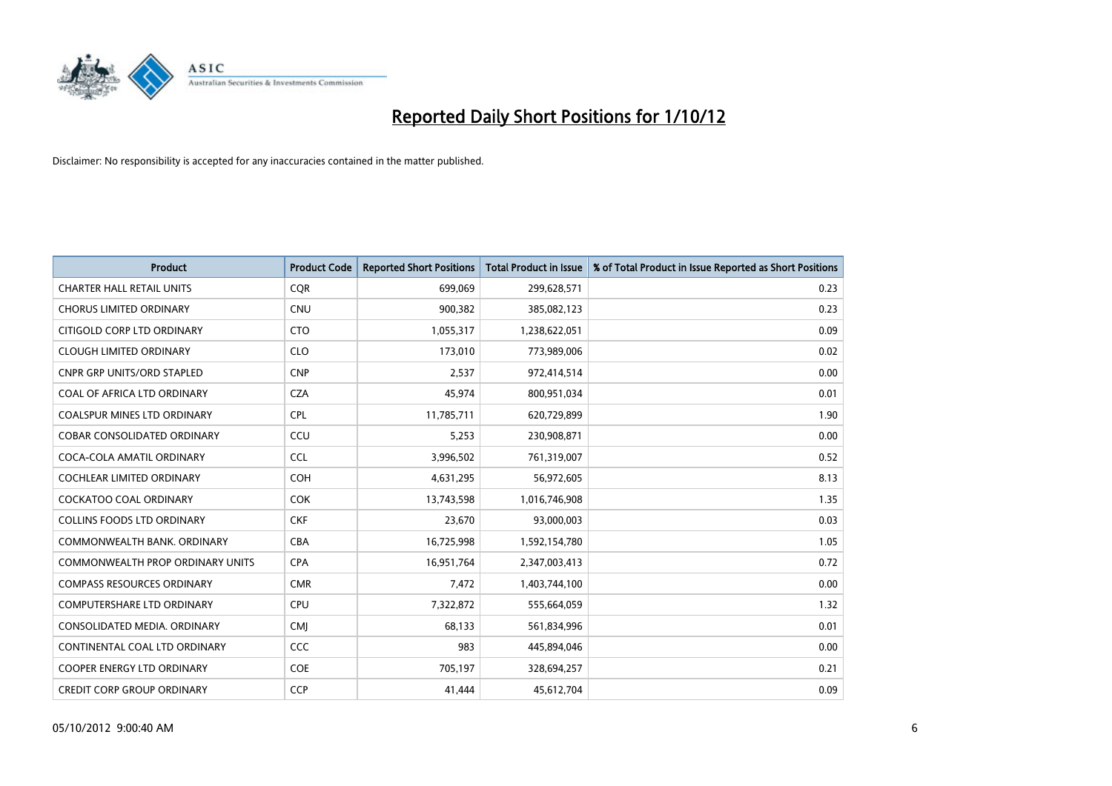

| <b>Product</b>                          | <b>Product Code</b> | <b>Reported Short Positions</b> | <b>Total Product in Issue</b> | % of Total Product in Issue Reported as Short Positions |
|-----------------------------------------|---------------------|---------------------------------|-------------------------------|---------------------------------------------------------|
| <b>CHARTER HALL RETAIL UNITS</b>        | <b>COR</b>          | 699,069                         | 299,628,571                   | 0.23                                                    |
| <b>CHORUS LIMITED ORDINARY</b>          | <b>CNU</b>          | 900,382                         | 385,082,123                   | 0.23                                                    |
| CITIGOLD CORP LTD ORDINARY              | <b>CTO</b>          | 1,055,317                       | 1,238,622,051                 | 0.09                                                    |
| <b>CLOUGH LIMITED ORDINARY</b>          | <b>CLO</b>          | 173,010                         | 773,989,006                   | 0.02                                                    |
| <b>CNPR GRP UNITS/ORD STAPLED</b>       | <b>CNP</b>          | 2,537                           | 972,414,514                   | 0.00                                                    |
| COAL OF AFRICA LTD ORDINARY             | <b>CZA</b>          | 45,974                          | 800,951,034                   | 0.01                                                    |
| <b>COALSPUR MINES LTD ORDINARY</b>      | <b>CPL</b>          | 11,785,711                      | 620,729,899                   | 1.90                                                    |
| COBAR CONSOLIDATED ORDINARY             | CCU                 | 5,253                           | 230,908,871                   | 0.00                                                    |
| COCA-COLA AMATIL ORDINARY               | <b>CCL</b>          | 3,996,502                       | 761,319,007                   | 0.52                                                    |
| <b>COCHLEAR LIMITED ORDINARY</b>        | <b>COH</b>          | 4,631,295                       | 56,972,605                    | 8.13                                                    |
| COCKATOO COAL ORDINARY                  | <b>COK</b>          | 13,743,598                      | 1,016,746,908                 | 1.35                                                    |
| <b>COLLINS FOODS LTD ORDINARY</b>       | <b>CKF</b>          | 23,670                          | 93,000,003                    | 0.03                                                    |
| COMMONWEALTH BANK, ORDINARY             | <b>CBA</b>          | 16,725,998                      | 1,592,154,780                 | 1.05                                                    |
| <b>COMMONWEALTH PROP ORDINARY UNITS</b> | <b>CPA</b>          | 16,951,764                      | 2,347,003,413                 | 0.72                                                    |
| <b>COMPASS RESOURCES ORDINARY</b>       | <b>CMR</b>          | 7,472                           | 1,403,744,100                 | 0.00                                                    |
| COMPUTERSHARE LTD ORDINARY              | <b>CPU</b>          | 7,322,872                       | 555,664,059                   | 1.32                                                    |
| CONSOLIDATED MEDIA. ORDINARY            | <b>CMI</b>          | 68,133                          | 561,834,996                   | 0.01                                                    |
| CONTINENTAL COAL LTD ORDINARY           | CCC                 | 983                             | 445,894,046                   | 0.00                                                    |
| <b>COOPER ENERGY LTD ORDINARY</b>       | <b>COE</b>          | 705,197                         | 328,694,257                   | 0.21                                                    |
| <b>CREDIT CORP GROUP ORDINARY</b>       | <b>CCP</b>          | 41,444                          | 45,612,704                    | 0.09                                                    |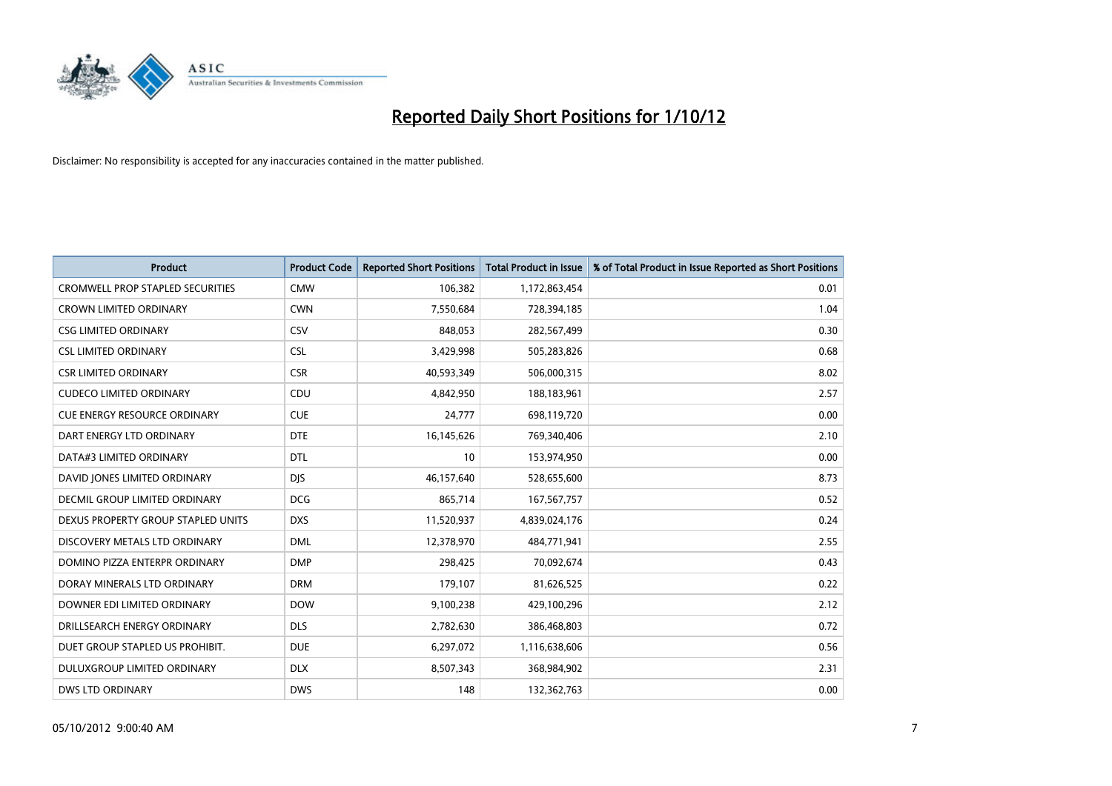

| <b>Product</b>                          | <b>Product Code</b> | <b>Reported Short Positions</b> | <b>Total Product in Issue</b> | % of Total Product in Issue Reported as Short Positions |
|-----------------------------------------|---------------------|---------------------------------|-------------------------------|---------------------------------------------------------|
| <b>CROMWELL PROP STAPLED SECURITIES</b> | <b>CMW</b>          | 106,382                         | 1,172,863,454                 | 0.01                                                    |
| <b>CROWN LIMITED ORDINARY</b>           | <b>CWN</b>          | 7,550,684                       | 728,394,185                   | 1.04                                                    |
| <b>CSG LIMITED ORDINARY</b>             | CSV                 | 848,053                         | 282,567,499                   | 0.30                                                    |
| <b>CSL LIMITED ORDINARY</b>             | <b>CSL</b>          | 3,429,998                       | 505,283,826                   | 0.68                                                    |
| <b>CSR LIMITED ORDINARY</b>             | <b>CSR</b>          | 40,593,349                      | 506,000,315                   | 8.02                                                    |
| <b>CUDECO LIMITED ORDINARY</b>          | CDU                 | 4,842,950                       | 188,183,961                   | 2.57                                                    |
| <b>CUE ENERGY RESOURCE ORDINARY</b>     | <b>CUE</b>          | 24,777                          | 698,119,720                   | 0.00                                                    |
| DART ENERGY LTD ORDINARY                | <b>DTE</b>          | 16,145,626                      | 769,340,406                   | 2.10                                                    |
| DATA#3 LIMITED ORDINARY                 | <b>DTL</b>          | 10                              | 153,974,950                   | 0.00                                                    |
| DAVID JONES LIMITED ORDINARY            | <b>DJS</b>          | 46,157,640                      | 528,655,600                   | 8.73                                                    |
| <b>DECMIL GROUP LIMITED ORDINARY</b>    | <b>DCG</b>          | 865,714                         | 167, 567, 757                 | 0.52                                                    |
| DEXUS PROPERTY GROUP STAPLED UNITS      | <b>DXS</b>          | 11,520,937                      | 4,839,024,176                 | 0.24                                                    |
| DISCOVERY METALS LTD ORDINARY           | <b>DML</b>          | 12,378,970                      | 484,771,941                   | 2.55                                                    |
| DOMINO PIZZA ENTERPR ORDINARY           | <b>DMP</b>          | 298,425                         | 70,092,674                    | 0.43                                                    |
| DORAY MINERALS LTD ORDINARY             | <b>DRM</b>          | 179,107                         | 81,626,525                    | 0.22                                                    |
| DOWNER EDI LIMITED ORDINARY             | <b>DOW</b>          | 9,100,238                       | 429,100,296                   | 2.12                                                    |
| DRILLSEARCH ENERGY ORDINARY             | <b>DLS</b>          | 2,782,630                       | 386,468,803                   | 0.72                                                    |
| DUET GROUP STAPLED US PROHIBIT.         | <b>DUE</b>          | 6,297,072                       | 1,116,638,606                 | 0.56                                                    |
| DULUXGROUP LIMITED ORDINARY             | <b>DLX</b>          | 8,507,343                       | 368,984,902                   | 2.31                                                    |
| <b>DWS LTD ORDINARY</b>                 | <b>DWS</b>          | 148                             | 132,362,763                   | 0.00                                                    |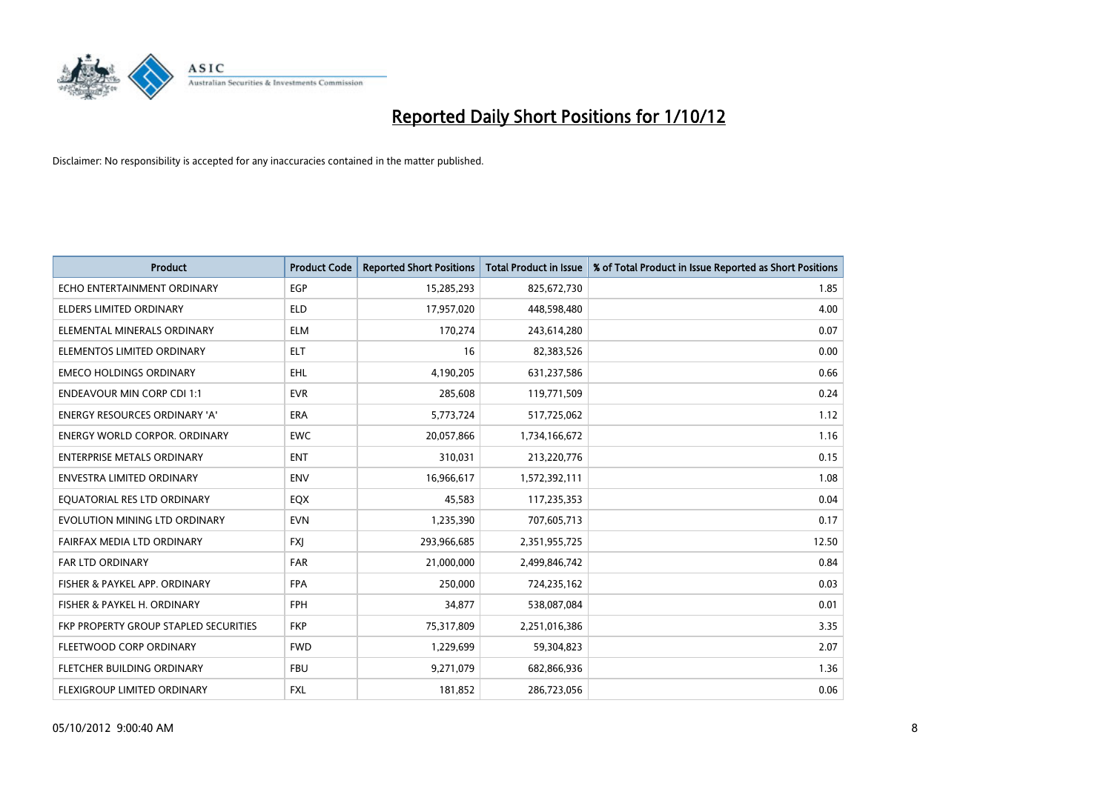

| <b>Product</b>                        | <b>Product Code</b> | <b>Reported Short Positions</b> | <b>Total Product in Issue</b> | % of Total Product in Issue Reported as Short Positions |
|---------------------------------------|---------------------|---------------------------------|-------------------------------|---------------------------------------------------------|
| ECHO ENTERTAINMENT ORDINARY           | <b>EGP</b>          | 15,285,293                      | 825,672,730                   | 1.85                                                    |
| ELDERS LIMITED ORDINARY               | <b>ELD</b>          | 17,957,020                      | 448,598,480                   | 4.00                                                    |
| ELEMENTAL MINERALS ORDINARY           | <b>ELM</b>          | 170,274                         | 243,614,280                   | 0.07                                                    |
| ELEMENTOS LIMITED ORDINARY            | <b>ELT</b>          | 16                              | 82,383,526                    | 0.00                                                    |
| <b>EMECO HOLDINGS ORDINARY</b>        | <b>EHL</b>          | 4,190,205                       | 631,237,586                   | 0.66                                                    |
| <b>ENDEAVOUR MIN CORP CDI 1:1</b>     | <b>EVR</b>          | 285,608                         | 119,771,509                   | 0.24                                                    |
| <b>ENERGY RESOURCES ORDINARY 'A'</b>  | <b>ERA</b>          | 5,773,724                       | 517,725,062                   | 1.12                                                    |
| ENERGY WORLD CORPOR. ORDINARY         | <b>EWC</b>          | 20,057,866                      | 1,734,166,672                 | 1.16                                                    |
| <b>ENTERPRISE METALS ORDINARY</b>     | <b>ENT</b>          | 310,031                         | 213,220,776                   | 0.15                                                    |
| <b>ENVESTRA LIMITED ORDINARY</b>      | <b>ENV</b>          | 16,966,617                      | 1,572,392,111                 | 1.08                                                    |
| EQUATORIAL RES LTD ORDINARY           | EQX                 | 45,583                          | 117,235,353                   | 0.04                                                    |
| EVOLUTION MINING LTD ORDINARY         | <b>EVN</b>          | 1,235,390                       | 707,605,713                   | 0.17                                                    |
| FAIRFAX MEDIA LTD ORDINARY            | <b>FXI</b>          | 293,966,685                     | 2,351,955,725                 | 12.50                                                   |
| <b>FAR LTD ORDINARY</b>               | <b>FAR</b>          | 21,000,000                      | 2,499,846,742                 | 0.84                                                    |
| FISHER & PAYKEL APP. ORDINARY         | <b>FPA</b>          | 250,000                         | 724,235,162                   | 0.03                                                    |
| FISHER & PAYKEL H. ORDINARY           | <b>FPH</b>          | 34,877                          | 538,087,084                   | 0.01                                                    |
| FKP PROPERTY GROUP STAPLED SECURITIES | <b>FKP</b>          | 75,317,809                      | 2,251,016,386                 | 3.35                                                    |
| FLEETWOOD CORP ORDINARY               | <b>FWD</b>          | 1,229,699                       | 59,304,823                    | 2.07                                                    |
| FLETCHER BUILDING ORDINARY            | <b>FBU</b>          | 9,271,079                       | 682,866,936                   | 1.36                                                    |
| FLEXIGROUP LIMITED ORDINARY           | <b>FXL</b>          | 181,852                         | 286,723,056                   | 0.06                                                    |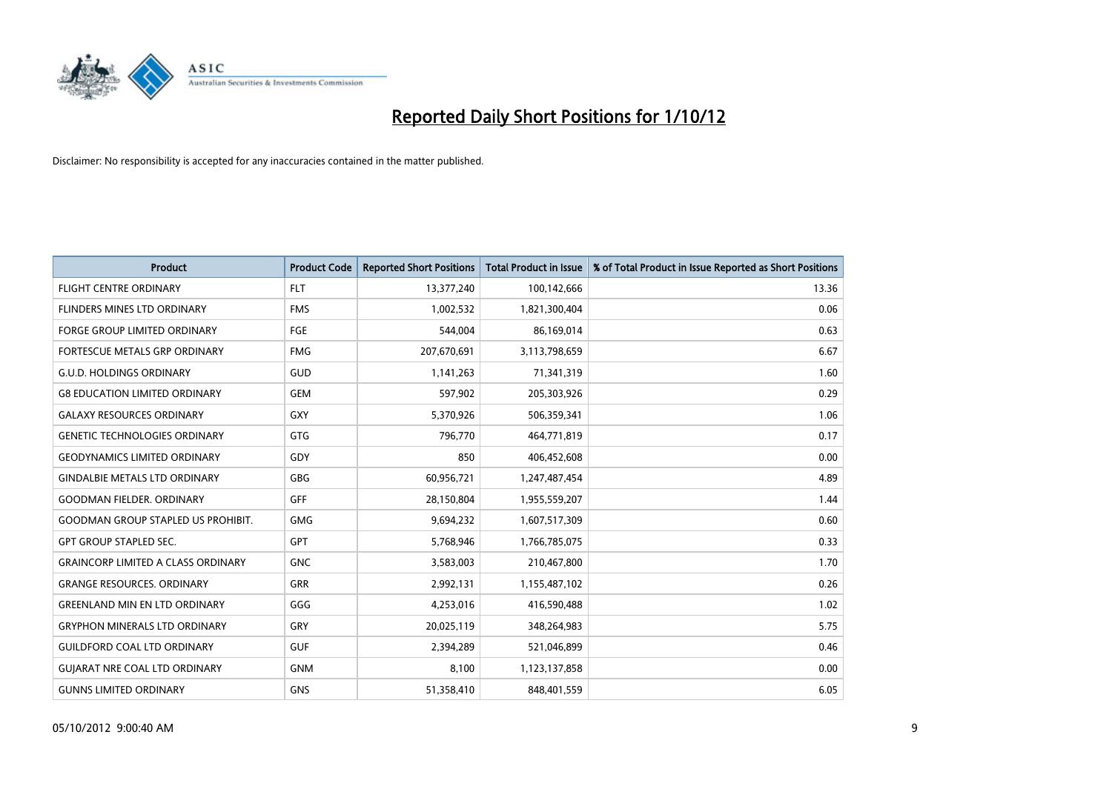

| <b>Product</b>                            | <b>Product Code</b> | <b>Reported Short Positions</b> | <b>Total Product in Issue</b> | % of Total Product in Issue Reported as Short Positions |
|-------------------------------------------|---------------------|---------------------------------|-------------------------------|---------------------------------------------------------|
| <b>FLIGHT CENTRE ORDINARY</b>             | <b>FLT</b>          | 13,377,240                      | 100,142,666                   | 13.36                                                   |
| FLINDERS MINES LTD ORDINARY               | <b>FMS</b>          | 1,002,532                       | 1,821,300,404                 | 0.06                                                    |
| <b>FORGE GROUP LIMITED ORDINARY</b>       | FGE                 | 544,004                         | 86,169,014                    | 0.63                                                    |
| FORTESCUE METALS GRP ORDINARY             | <b>FMG</b>          | 207,670,691                     | 3,113,798,659                 | 6.67                                                    |
| <b>G.U.D. HOLDINGS ORDINARY</b>           | GUD                 | 1,141,263                       | 71,341,319                    | 1.60                                                    |
| <b>G8 EDUCATION LIMITED ORDINARY</b>      | <b>GEM</b>          | 597,902                         | 205,303,926                   | 0.29                                                    |
| <b>GALAXY RESOURCES ORDINARY</b>          | <b>GXY</b>          | 5,370,926                       | 506,359,341                   | 1.06                                                    |
| <b>GENETIC TECHNOLOGIES ORDINARY</b>      | <b>GTG</b>          | 796,770                         | 464,771,819                   | 0.17                                                    |
| <b>GEODYNAMICS LIMITED ORDINARY</b>       | GDY                 | 850                             | 406,452,608                   | 0.00                                                    |
| <b>GINDALBIE METALS LTD ORDINARY</b>      | GBG                 | 60,956,721                      | 1,247,487,454                 | 4.89                                                    |
| <b>GOODMAN FIELDER, ORDINARY</b>          | GFF                 | 28,150,804                      | 1,955,559,207                 | 1.44                                                    |
| <b>GOODMAN GROUP STAPLED US PROHIBIT.</b> | <b>GMG</b>          | 9,694,232                       | 1,607,517,309                 | 0.60                                                    |
| <b>GPT GROUP STAPLED SEC.</b>             | <b>GPT</b>          | 5,768,946                       | 1,766,785,075                 | 0.33                                                    |
| <b>GRAINCORP LIMITED A CLASS ORDINARY</b> | <b>GNC</b>          | 3,583,003                       | 210,467,800                   | 1.70                                                    |
| <b>GRANGE RESOURCES. ORDINARY</b>         | <b>GRR</b>          | 2,992,131                       | 1,155,487,102                 | 0.26                                                    |
| <b>GREENLAND MIN EN LTD ORDINARY</b>      | GGG                 | 4,253,016                       | 416,590,488                   | 1.02                                                    |
| <b>GRYPHON MINERALS LTD ORDINARY</b>      | GRY                 | 20,025,119                      | 348,264,983                   | 5.75                                                    |
| <b>GUILDFORD COAL LTD ORDINARY</b>        | <b>GUF</b>          | 2,394,289                       | 521,046,899                   | 0.46                                                    |
| <b>GUIARAT NRE COAL LTD ORDINARY</b>      | <b>GNM</b>          | 8,100                           | 1,123,137,858                 | 0.00                                                    |
| <b>GUNNS LIMITED ORDINARY</b>             | <b>GNS</b>          | 51,358,410                      | 848,401,559                   | 6.05                                                    |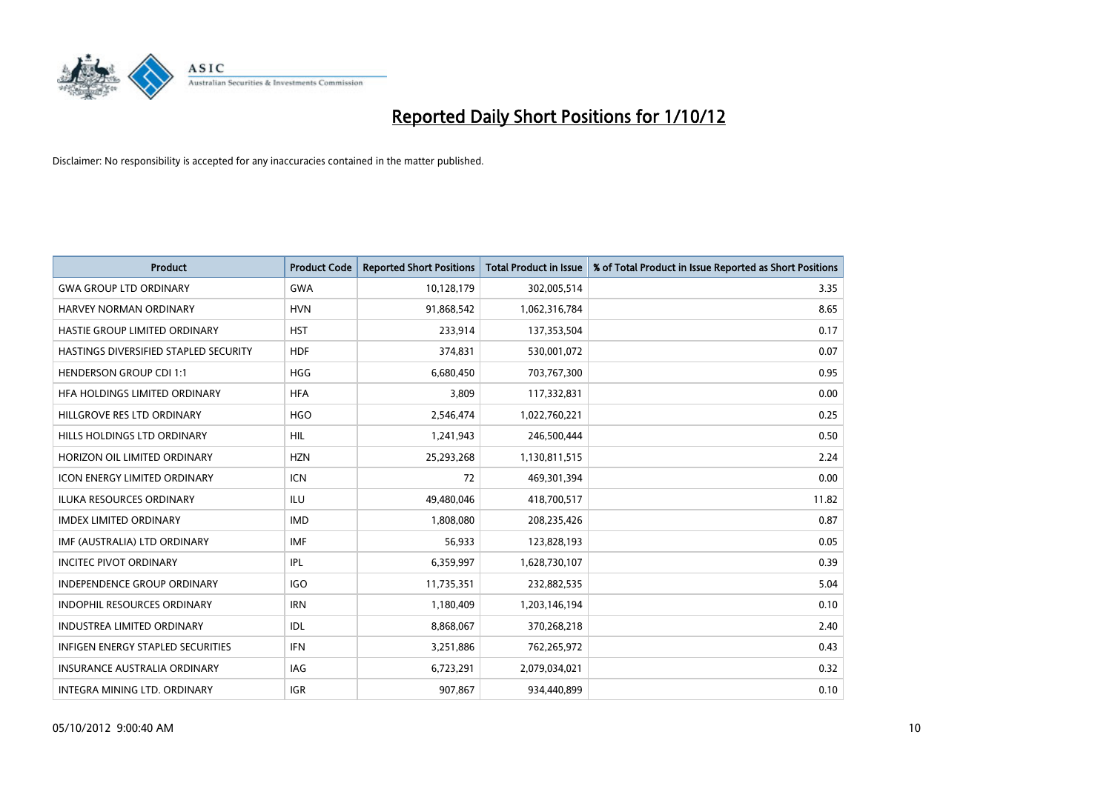

| <b>Product</b>                        | <b>Product Code</b> | <b>Reported Short Positions</b> | <b>Total Product in Issue</b> | % of Total Product in Issue Reported as Short Positions |
|---------------------------------------|---------------------|---------------------------------|-------------------------------|---------------------------------------------------------|
| <b>GWA GROUP LTD ORDINARY</b>         | <b>GWA</b>          | 10,128,179                      | 302,005,514                   | 3.35                                                    |
| <b>HARVEY NORMAN ORDINARY</b>         | <b>HVN</b>          | 91,868,542                      | 1,062,316,784                 | 8.65                                                    |
| HASTIE GROUP LIMITED ORDINARY         | <b>HST</b>          | 233,914                         | 137,353,504                   | 0.17                                                    |
| HASTINGS DIVERSIFIED STAPLED SECURITY | <b>HDF</b>          | 374,831                         | 530,001,072                   | 0.07                                                    |
| <b>HENDERSON GROUP CDI 1:1</b>        | <b>HGG</b>          | 6,680,450                       | 703,767,300                   | 0.95                                                    |
| HFA HOLDINGS LIMITED ORDINARY         | <b>HFA</b>          | 3,809                           | 117,332,831                   | 0.00                                                    |
| HILLGROVE RES LTD ORDINARY            | <b>HGO</b>          | 2,546,474                       | 1,022,760,221                 | 0.25                                                    |
| HILLS HOLDINGS LTD ORDINARY           | <b>HIL</b>          | 1,241,943                       | 246,500,444                   | 0.50                                                    |
| HORIZON OIL LIMITED ORDINARY          | <b>HZN</b>          | 25,293,268                      | 1,130,811,515                 | 2.24                                                    |
| <b>ICON ENERGY LIMITED ORDINARY</b>   | <b>ICN</b>          | 72                              | 469,301,394                   | 0.00                                                    |
| <b>ILUKA RESOURCES ORDINARY</b>       | ILU                 | 49,480,046                      | 418,700,517                   | 11.82                                                   |
| <b>IMDEX LIMITED ORDINARY</b>         | <b>IMD</b>          | 1,808,080                       | 208,235,426                   | 0.87                                                    |
| IMF (AUSTRALIA) LTD ORDINARY          | <b>IMF</b>          | 56,933                          | 123,828,193                   | 0.05                                                    |
| <b>INCITEC PIVOT ORDINARY</b>         | IPL                 | 6,359,997                       | 1,628,730,107                 | 0.39                                                    |
| <b>INDEPENDENCE GROUP ORDINARY</b>    | <b>IGO</b>          | 11,735,351                      | 232,882,535                   | 5.04                                                    |
| <b>INDOPHIL RESOURCES ORDINARY</b>    | <b>IRN</b>          | 1,180,409                       | 1,203,146,194                 | 0.10                                                    |
| <b>INDUSTREA LIMITED ORDINARY</b>     | IDL                 | 8,868,067                       | 370,268,218                   | 2.40                                                    |
| INFIGEN ENERGY STAPLED SECURITIES     | <b>IFN</b>          | 3,251,886                       | 762,265,972                   | 0.43                                                    |
| <b>INSURANCE AUSTRALIA ORDINARY</b>   | IAG                 | 6,723,291                       | 2,079,034,021                 | 0.32                                                    |
| INTEGRA MINING LTD, ORDINARY          | <b>IGR</b>          | 907.867                         | 934.440.899                   | 0.10                                                    |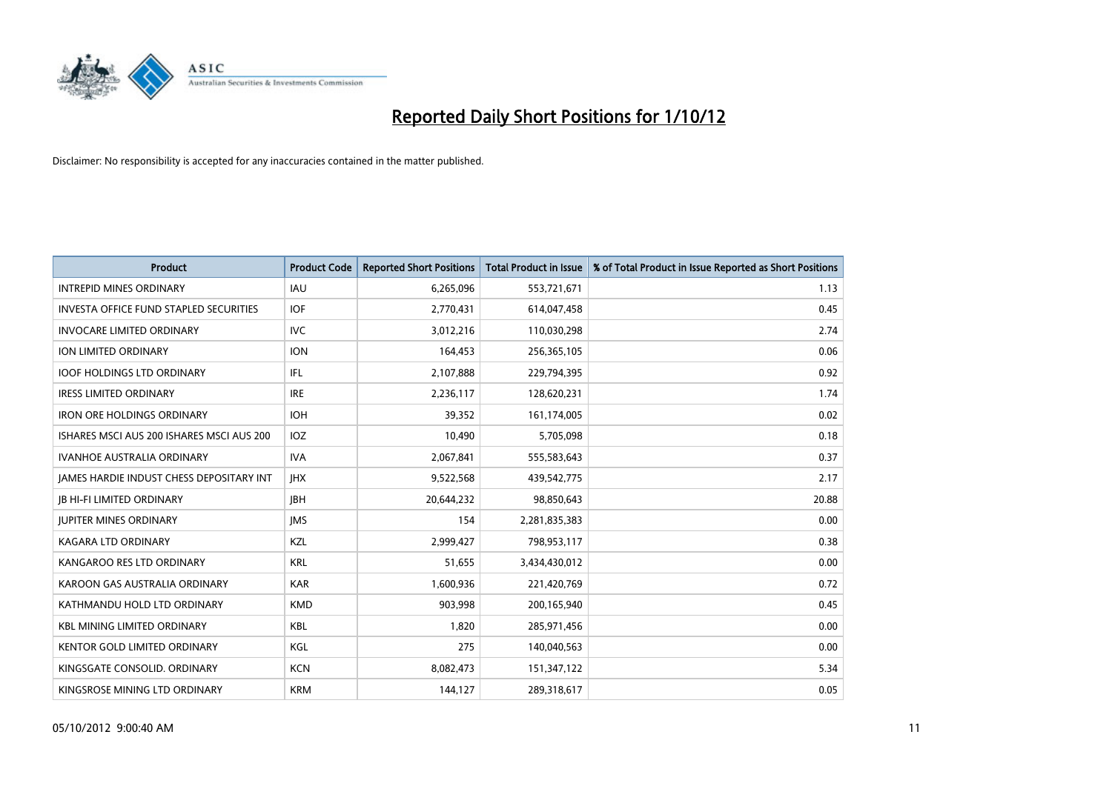

| <b>Product</b>                                  | <b>Product Code</b> | <b>Reported Short Positions</b> | <b>Total Product in Issue</b> | % of Total Product in Issue Reported as Short Positions |
|-------------------------------------------------|---------------------|---------------------------------|-------------------------------|---------------------------------------------------------|
| <b>INTREPID MINES ORDINARY</b>                  | <b>IAU</b>          | 6,265,096                       | 553,721,671                   | 1.13                                                    |
| <b>INVESTA OFFICE FUND STAPLED SECURITIES</b>   | <b>IOF</b>          | 2,770,431                       | 614,047,458                   | 0.45                                                    |
| <b>INVOCARE LIMITED ORDINARY</b>                | IVC                 | 3,012,216                       | 110,030,298                   | 2.74                                                    |
| <b>ION LIMITED ORDINARY</b>                     | <b>ION</b>          | 164,453                         | 256,365,105                   | 0.06                                                    |
| <b>IOOF HOLDINGS LTD ORDINARY</b>               | IFL.                | 2,107,888                       | 229,794,395                   | 0.92                                                    |
| <b>IRESS LIMITED ORDINARY</b>                   | <b>IRE</b>          | 2,236,117                       | 128,620,231                   | 1.74                                                    |
| <b>IRON ORE HOLDINGS ORDINARY</b>               | <b>IOH</b>          | 39,352                          | 161,174,005                   | 0.02                                                    |
| ISHARES MSCI AUS 200 ISHARES MSCI AUS 200       | <b>IOZ</b>          | 10,490                          | 5,705,098                     | 0.18                                                    |
| <b>IVANHOE AUSTRALIA ORDINARY</b>               | <b>IVA</b>          | 2,067,841                       | 555,583,643                   | 0.37                                                    |
| <b>JAMES HARDIE INDUST CHESS DEPOSITARY INT</b> | <b>IHX</b>          | 9,522,568                       | 439,542,775                   | 2.17                                                    |
| JB HI-FI LIMITED ORDINARY                       | <b>JBH</b>          | 20,644,232                      | 98,850,643                    | 20.88                                                   |
| <b>JUPITER MINES ORDINARY</b>                   | <b>IMS</b>          | 154                             | 2,281,835,383                 | 0.00                                                    |
| <b>KAGARA LTD ORDINARY</b>                      | KZL                 | 2,999,427                       | 798,953,117                   | 0.38                                                    |
| KANGAROO RES LTD ORDINARY                       | <b>KRL</b>          | 51,655                          | 3,434,430,012                 | 0.00                                                    |
| KAROON GAS AUSTRALIA ORDINARY                   | <b>KAR</b>          | 1,600,936                       | 221,420,769                   | 0.72                                                    |
| KATHMANDU HOLD LTD ORDINARY                     | <b>KMD</b>          | 903,998                         | 200,165,940                   | 0.45                                                    |
| <b>KBL MINING LIMITED ORDINARY</b>              | <b>KBL</b>          | 1,820                           | 285,971,456                   | 0.00                                                    |
| <b>KENTOR GOLD LIMITED ORDINARY</b>             | KGL                 | 275                             | 140,040,563                   | 0.00                                                    |
| KINGSGATE CONSOLID. ORDINARY                    | <b>KCN</b>          | 8,082,473                       | 151,347,122                   | 5.34                                                    |
| KINGSROSE MINING LTD ORDINARY                   | <b>KRM</b>          | 144,127                         | 289,318,617                   | 0.05                                                    |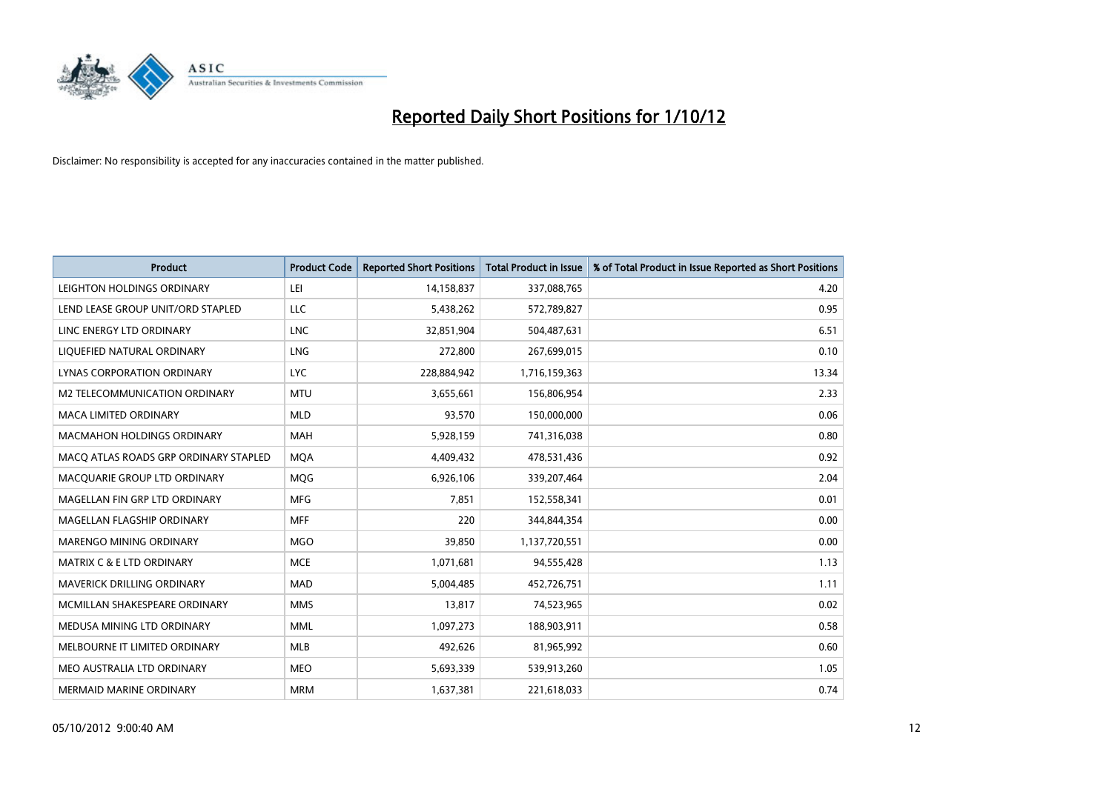

| <b>Product</b>                        | <b>Product Code</b> | <b>Reported Short Positions</b> | <b>Total Product in Issue</b> | % of Total Product in Issue Reported as Short Positions |
|---------------------------------------|---------------------|---------------------------------|-------------------------------|---------------------------------------------------------|
| LEIGHTON HOLDINGS ORDINARY            | LEI                 | 14,158,837                      | 337,088,765                   | 4.20                                                    |
| LEND LEASE GROUP UNIT/ORD STAPLED     | LLC                 | 5,438,262                       | 572,789,827                   | 0.95                                                    |
| LINC ENERGY LTD ORDINARY              | <b>LNC</b>          | 32,851,904                      | 504,487,631                   | 6.51                                                    |
| LIQUEFIED NATURAL ORDINARY            | <b>LNG</b>          | 272,800                         | 267,699,015                   | 0.10                                                    |
| LYNAS CORPORATION ORDINARY            | <b>LYC</b>          | 228,884,942                     | 1,716,159,363                 | 13.34                                                   |
| M2 TELECOMMUNICATION ORDINARY         | <b>MTU</b>          | 3,655,661                       | 156,806,954                   | 2.33                                                    |
| <b>MACA LIMITED ORDINARY</b>          | <b>MLD</b>          | 93,570                          | 150,000,000                   | 0.06                                                    |
| MACMAHON HOLDINGS ORDINARY            | <b>MAH</b>          | 5,928,159                       | 741,316,038                   | 0.80                                                    |
| MACO ATLAS ROADS GRP ORDINARY STAPLED | <b>MOA</b>          | 4,409,432                       | 478,531,436                   | 0.92                                                    |
| MACQUARIE GROUP LTD ORDINARY          | <b>MOG</b>          | 6,926,106                       | 339,207,464                   | 2.04                                                    |
| MAGELLAN FIN GRP LTD ORDINARY         | <b>MFG</b>          | 7,851                           | 152,558,341                   | 0.01                                                    |
| MAGELLAN FLAGSHIP ORDINARY            | <b>MFF</b>          | 220                             | 344,844,354                   | 0.00                                                    |
| <b>MARENGO MINING ORDINARY</b>        | <b>MGO</b>          | 39,850                          | 1,137,720,551                 | 0.00                                                    |
| <b>MATRIX C &amp; E LTD ORDINARY</b>  | <b>MCE</b>          | 1,071,681                       | 94,555,428                    | 1.13                                                    |
| MAVERICK DRILLING ORDINARY            | <b>MAD</b>          | 5,004,485                       | 452,726,751                   | 1.11                                                    |
| MCMILLAN SHAKESPEARE ORDINARY         | <b>MMS</b>          | 13,817                          | 74,523,965                    | 0.02                                                    |
| MEDUSA MINING LTD ORDINARY            | <b>MML</b>          | 1,097,273                       | 188,903,911                   | 0.58                                                    |
| MELBOURNE IT LIMITED ORDINARY         | <b>MLB</b>          | 492,626                         | 81,965,992                    | 0.60                                                    |
| MEO AUSTRALIA LTD ORDINARY            | <b>MEO</b>          | 5,693,339                       | 539,913,260                   | 1.05                                                    |
| <b>MERMAID MARINE ORDINARY</b>        | <b>MRM</b>          | 1,637,381                       | 221,618,033                   | 0.74                                                    |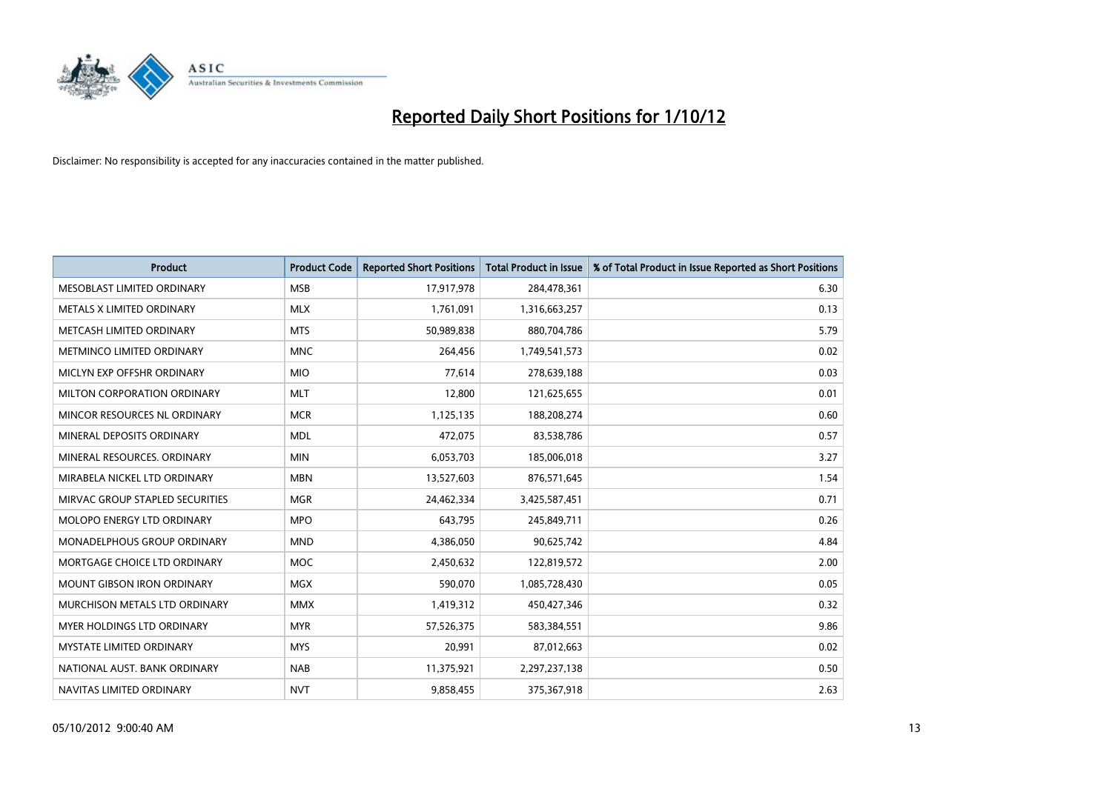

| <b>Product</b>                    | <b>Product Code</b> | <b>Reported Short Positions</b> | <b>Total Product in Issue</b> | % of Total Product in Issue Reported as Short Positions |
|-----------------------------------|---------------------|---------------------------------|-------------------------------|---------------------------------------------------------|
| MESOBLAST LIMITED ORDINARY        | <b>MSB</b>          | 17,917,978                      | 284,478,361                   | 6.30                                                    |
| METALS X LIMITED ORDINARY         | <b>MLX</b>          | 1,761,091                       | 1,316,663,257                 | 0.13                                                    |
| METCASH LIMITED ORDINARY          | <b>MTS</b>          | 50,989,838                      | 880,704,786                   | 5.79                                                    |
| METMINCO LIMITED ORDINARY         | <b>MNC</b>          | 264,456                         | 1,749,541,573                 | 0.02                                                    |
| MICLYN EXP OFFSHR ORDINARY        | <b>MIO</b>          | 77,614                          | 278,639,188                   | 0.03                                                    |
| MILTON CORPORATION ORDINARY       | <b>MLT</b>          | 12,800                          | 121,625,655                   | 0.01                                                    |
| MINCOR RESOURCES NL ORDINARY      | <b>MCR</b>          | 1,125,135                       | 188,208,274                   | 0.60                                                    |
| MINERAL DEPOSITS ORDINARY         | <b>MDL</b>          | 472,075                         | 83,538,786                    | 0.57                                                    |
| MINERAL RESOURCES, ORDINARY       | <b>MIN</b>          | 6,053,703                       | 185,006,018                   | 3.27                                                    |
| MIRABELA NICKEL LTD ORDINARY      | <b>MBN</b>          | 13,527,603                      | 876,571,645                   | 1.54                                                    |
| MIRVAC GROUP STAPLED SECURITIES   | <b>MGR</b>          | 24,462,334                      | 3,425,587,451                 | 0.71                                                    |
| MOLOPO ENERGY LTD ORDINARY        | <b>MPO</b>          | 643,795                         | 245,849,711                   | 0.26                                                    |
| MONADELPHOUS GROUP ORDINARY       | <b>MND</b>          | 4,386,050                       | 90,625,742                    | 4.84                                                    |
| MORTGAGE CHOICE LTD ORDINARY      | MOC                 | 2,450,632                       | 122,819,572                   | 2.00                                                    |
| <b>MOUNT GIBSON IRON ORDINARY</b> | <b>MGX</b>          | 590,070                         | 1,085,728,430                 | 0.05                                                    |
| MURCHISON METALS LTD ORDINARY     | <b>MMX</b>          | 1,419,312                       | 450,427,346                   | 0.32                                                    |
| MYER HOLDINGS LTD ORDINARY        | <b>MYR</b>          | 57,526,375                      | 583,384,551                   | 9.86                                                    |
| MYSTATE LIMITED ORDINARY          | <b>MYS</b>          | 20,991                          | 87,012,663                    | 0.02                                                    |
| NATIONAL AUST, BANK ORDINARY      | <b>NAB</b>          | 11,375,921                      | 2,297,237,138                 | 0.50                                                    |
| NAVITAS LIMITED ORDINARY          | <b>NVT</b>          | 9,858,455                       | 375,367,918                   | 2.63                                                    |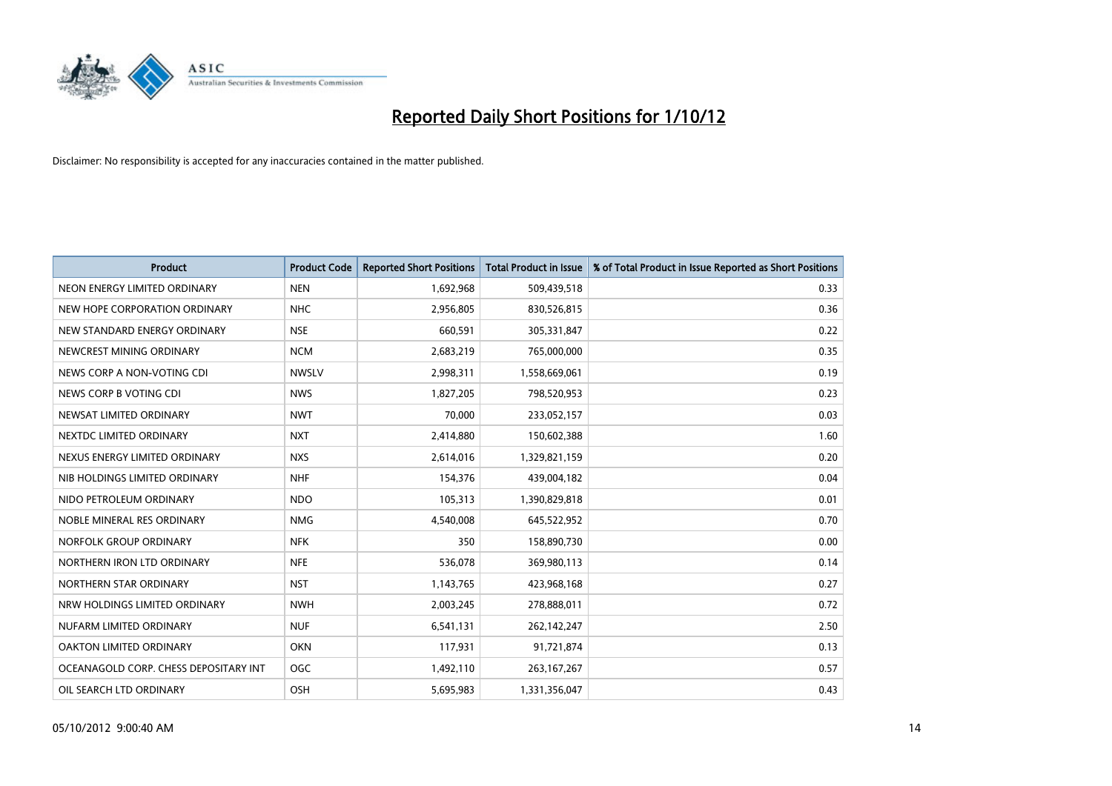

| <b>Product</b>                        | <b>Product Code</b> | <b>Reported Short Positions</b> | <b>Total Product in Issue</b> | % of Total Product in Issue Reported as Short Positions |
|---------------------------------------|---------------------|---------------------------------|-------------------------------|---------------------------------------------------------|
| NEON ENERGY LIMITED ORDINARY          | <b>NEN</b>          | 1,692,968                       | 509,439,518                   | 0.33                                                    |
| NEW HOPE CORPORATION ORDINARY         | <b>NHC</b>          | 2,956,805                       | 830,526,815                   | 0.36                                                    |
| NEW STANDARD ENERGY ORDINARY          | <b>NSE</b>          | 660,591                         | 305,331,847                   | 0.22                                                    |
| NEWCREST MINING ORDINARY              | <b>NCM</b>          | 2,683,219                       | 765,000,000                   | 0.35                                                    |
| NEWS CORP A NON-VOTING CDI            | <b>NWSLV</b>        | 2,998,311                       | 1,558,669,061                 | 0.19                                                    |
| NEWS CORP B VOTING CDI                | <b>NWS</b>          | 1,827,205                       | 798,520,953                   | 0.23                                                    |
| NEWSAT LIMITED ORDINARY               | <b>NWT</b>          | 70,000                          | 233,052,157                   | 0.03                                                    |
| NEXTDC LIMITED ORDINARY               | <b>NXT</b>          | 2,414,880                       | 150,602,388                   | 1.60                                                    |
| NEXUS ENERGY LIMITED ORDINARY         | <b>NXS</b>          | 2,614,016                       | 1,329,821,159                 | 0.20                                                    |
| NIB HOLDINGS LIMITED ORDINARY         | <b>NHF</b>          | 154,376                         | 439,004,182                   | 0.04                                                    |
| NIDO PETROLEUM ORDINARY               | <b>NDO</b>          | 105,313                         | 1,390,829,818                 | 0.01                                                    |
| NOBLE MINERAL RES ORDINARY            | <b>NMG</b>          | 4,540,008                       | 645,522,952                   | 0.70                                                    |
| NORFOLK GROUP ORDINARY                | <b>NFK</b>          | 350                             | 158,890,730                   | 0.00                                                    |
| NORTHERN IRON LTD ORDINARY            | <b>NFE</b>          | 536,078                         | 369,980,113                   | 0.14                                                    |
| NORTHERN STAR ORDINARY                | <b>NST</b>          | 1,143,765                       | 423,968,168                   | 0.27                                                    |
| NRW HOLDINGS LIMITED ORDINARY         | <b>NWH</b>          | 2,003,245                       | 278,888,011                   | 0.72                                                    |
| NUFARM LIMITED ORDINARY               | <b>NUF</b>          | 6,541,131                       | 262,142,247                   | 2.50                                                    |
| OAKTON LIMITED ORDINARY               | <b>OKN</b>          | 117,931                         | 91,721,874                    | 0.13                                                    |
| OCEANAGOLD CORP. CHESS DEPOSITARY INT | <b>OGC</b>          | 1,492,110                       | 263, 167, 267                 | 0.57                                                    |
| OIL SEARCH LTD ORDINARY               | <b>OSH</b>          | 5,695,983                       | 1,331,356,047                 | 0.43                                                    |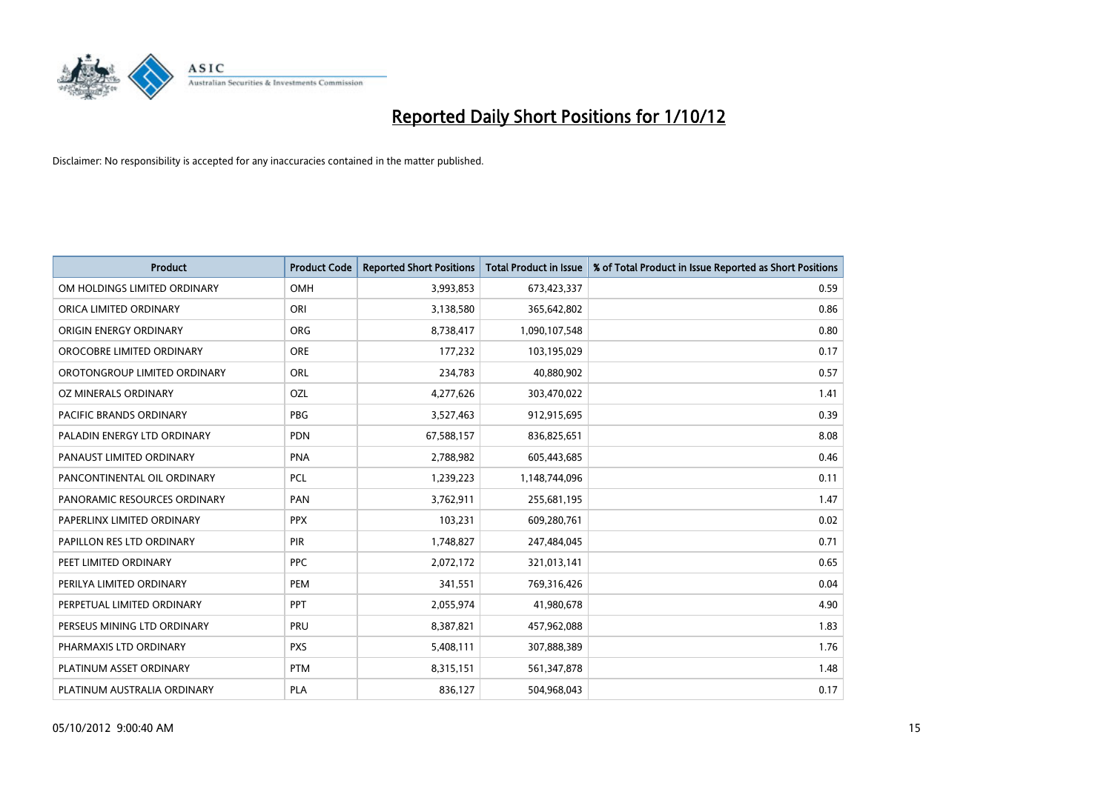

| <b>Product</b>               | <b>Product Code</b> | <b>Reported Short Positions</b> | <b>Total Product in Issue</b> | % of Total Product in Issue Reported as Short Positions |
|------------------------------|---------------------|---------------------------------|-------------------------------|---------------------------------------------------------|
| OM HOLDINGS LIMITED ORDINARY | OMH                 | 3,993,853                       | 673,423,337                   | 0.59                                                    |
| ORICA LIMITED ORDINARY       | ORI                 | 3,138,580                       | 365,642,802                   | 0.86                                                    |
| ORIGIN ENERGY ORDINARY       | <b>ORG</b>          | 8,738,417                       | 1,090,107,548                 | 0.80                                                    |
| OROCOBRE LIMITED ORDINARY    | <b>ORE</b>          | 177,232                         | 103,195,029                   | 0.17                                                    |
| OROTONGROUP LIMITED ORDINARY | <b>ORL</b>          | 234,783                         | 40,880,902                    | 0.57                                                    |
| OZ MINERALS ORDINARY         | OZL                 | 4,277,626                       | 303,470,022                   | 1.41                                                    |
| PACIFIC BRANDS ORDINARY      | <b>PBG</b>          | 3,527,463                       | 912,915,695                   | 0.39                                                    |
| PALADIN ENERGY LTD ORDINARY  | <b>PDN</b>          | 67,588,157                      | 836,825,651                   | 8.08                                                    |
| PANAUST LIMITED ORDINARY     | <b>PNA</b>          | 2,788,982                       | 605,443,685                   | 0.46                                                    |
| PANCONTINENTAL OIL ORDINARY  | <b>PCL</b>          | 1,239,223                       | 1,148,744,096                 | 0.11                                                    |
| PANORAMIC RESOURCES ORDINARY | PAN                 | 3,762,911                       | 255,681,195                   | 1.47                                                    |
| PAPERLINX LIMITED ORDINARY   | <b>PPX</b>          | 103,231                         | 609,280,761                   | 0.02                                                    |
| PAPILLON RES LTD ORDINARY    | <b>PIR</b>          | 1,748,827                       | 247,484,045                   | 0.71                                                    |
| PEET LIMITED ORDINARY        | <b>PPC</b>          | 2,072,172                       | 321,013,141                   | 0.65                                                    |
| PERILYA LIMITED ORDINARY     | PEM                 | 341,551                         | 769,316,426                   | 0.04                                                    |
| PERPETUAL LIMITED ORDINARY   | <b>PPT</b>          | 2,055,974                       | 41,980,678                    | 4.90                                                    |
| PERSEUS MINING LTD ORDINARY  | PRU                 | 8,387,821                       | 457,962,088                   | 1.83                                                    |
| PHARMAXIS LTD ORDINARY       | <b>PXS</b>          | 5,408,111                       | 307,888,389                   | 1.76                                                    |
| PLATINUM ASSET ORDINARY      | <b>PTM</b>          | 8,315,151                       | 561,347,878                   | 1.48                                                    |
| PLATINUM AUSTRALIA ORDINARY  | <b>PLA</b>          | 836,127                         | 504,968,043                   | 0.17                                                    |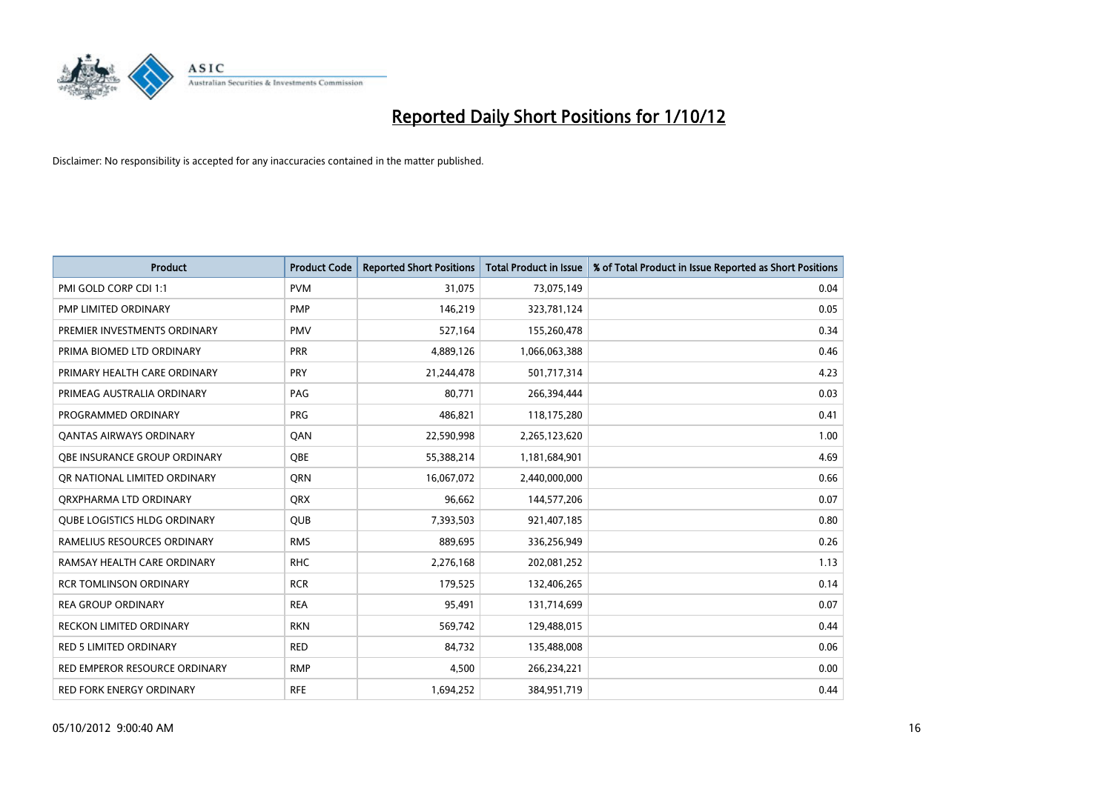

| <b>Product</b>                      | <b>Product Code</b> | <b>Reported Short Positions</b> | <b>Total Product in Issue</b> | % of Total Product in Issue Reported as Short Positions |
|-------------------------------------|---------------------|---------------------------------|-------------------------------|---------------------------------------------------------|
| PMI GOLD CORP CDI 1:1               | <b>PVM</b>          | 31,075                          | 73,075,149                    | 0.04                                                    |
| PMP LIMITED ORDINARY                | <b>PMP</b>          | 146,219                         | 323,781,124                   | 0.05                                                    |
| PREMIER INVESTMENTS ORDINARY        | <b>PMV</b>          | 527,164                         | 155,260,478                   | 0.34                                                    |
| PRIMA BIOMED LTD ORDINARY           | PRR                 | 4,889,126                       | 1,066,063,388                 | 0.46                                                    |
| PRIMARY HEALTH CARE ORDINARY        | <b>PRY</b>          | 21,244,478                      | 501,717,314                   | 4.23                                                    |
| PRIMEAG AUSTRALIA ORDINARY          | PAG                 | 80,771                          | 266,394,444                   | 0.03                                                    |
| PROGRAMMED ORDINARY                 | <b>PRG</b>          | 486,821                         | 118,175,280                   | 0.41                                                    |
| <b>QANTAS AIRWAYS ORDINARY</b>      | QAN                 | 22,590,998                      | 2,265,123,620                 | 1.00                                                    |
| <b>OBE INSURANCE GROUP ORDINARY</b> | <b>OBE</b>          | 55,388,214                      | 1,181,684,901                 | 4.69                                                    |
| OR NATIONAL LIMITED ORDINARY        | <b>ORN</b>          | 16,067,072                      | 2,440,000,000                 | 0.66                                                    |
| ORXPHARMA LTD ORDINARY              | <b>QRX</b>          | 96,662                          | 144,577,206                   | 0.07                                                    |
| <b>QUBE LOGISTICS HLDG ORDINARY</b> | QUB                 | 7,393,503                       | 921,407,185                   | 0.80                                                    |
| RAMELIUS RESOURCES ORDINARY         | <b>RMS</b>          | 889,695                         | 336,256,949                   | 0.26                                                    |
| RAMSAY HEALTH CARE ORDINARY         | <b>RHC</b>          | 2,276,168                       | 202,081,252                   | 1.13                                                    |
| <b>RCR TOMLINSON ORDINARY</b>       | <b>RCR</b>          | 179,525                         | 132,406,265                   | 0.14                                                    |
| <b>REA GROUP ORDINARY</b>           | <b>REA</b>          | 95,491                          | 131,714,699                   | 0.07                                                    |
| RECKON LIMITED ORDINARY             | <b>RKN</b>          | 569,742                         | 129,488,015                   | 0.44                                                    |
| RED 5 LIMITED ORDINARY              | <b>RED</b>          | 84,732                          | 135,488,008                   | 0.06                                                    |
| RED EMPEROR RESOURCE ORDINARY       | <b>RMP</b>          | 4,500                           | 266,234,221                   | 0.00                                                    |
| RED FORK ENERGY ORDINARY            | <b>RFE</b>          | 1,694,252                       | 384,951,719                   | 0.44                                                    |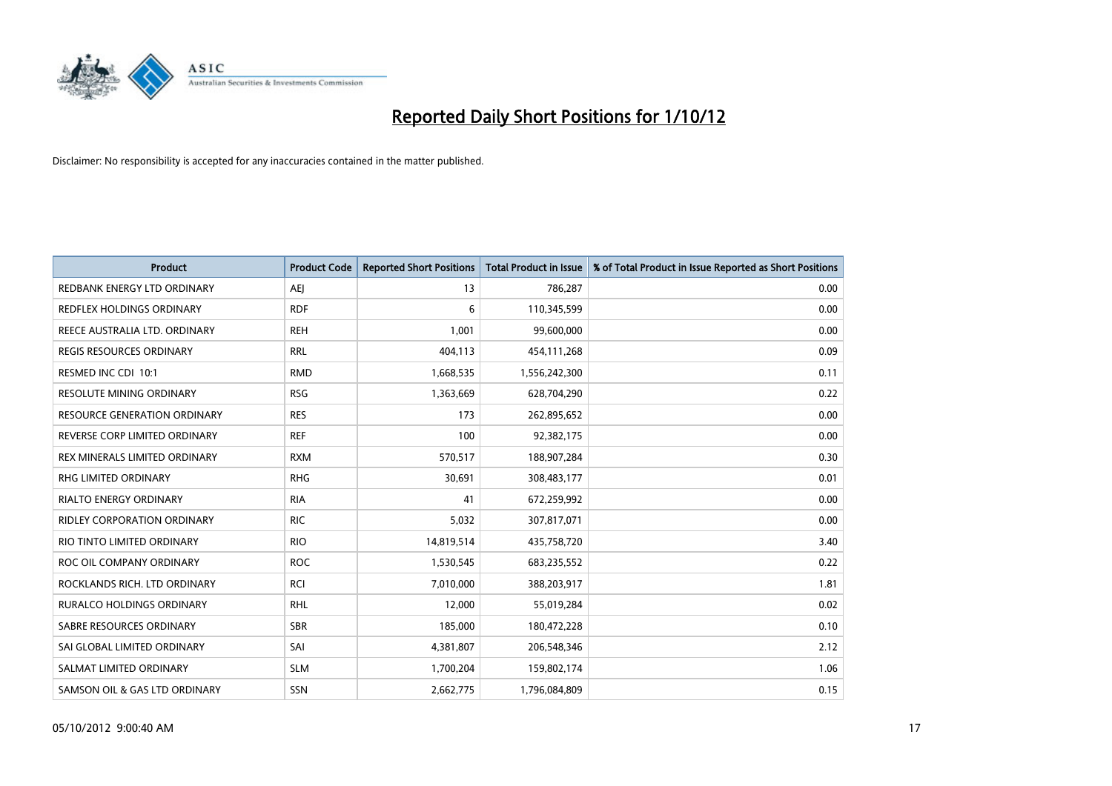

| <b>Product</b>                      | <b>Product Code</b> | <b>Reported Short Positions</b> | <b>Total Product in Issue</b> | % of Total Product in Issue Reported as Short Positions |
|-------------------------------------|---------------------|---------------------------------|-------------------------------|---------------------------------------------------------|
| REDBANK ENERGY LTD ORDINARY         | AEI                 | 13                              | 786,287                       | 0.00                                                    |
| REDFLEX HOLDINGS ORDINARY           | <b>RDF</b>          | 6                               | 110,345,599                   | 0.00                                                    |
| REECE AUSTRALIA LTD. ORDINARY       | <b>REH</b>          | 1,001                           | 99,600,000                    | 0.00                                                    |
| <b>REGIS RESOURCES ORDINARY</b>     | <b>RRL</b>          | 404,113                         | 454,111,268                   | 0.09                                                    |
| RESMED INC CDI 10:1                 | <b>RMD</b>          | 1,668,535                       | 1,556,242,300                 | 0.11                                                    |
| RESOLUTE MINING ORDINARY            | <b>RSG</b>          | 1,363,669                       | 628,704,290                   | 0.22                                                    |
| <b>RESOURCE GENERATION ORDINARY</b> | <b>RES</b>          | 173                             | 262,895,652                   | 0.00                                                    |
| REVERSE CORP LIMITED ORDINARY       | <b>REF</b>          | 100                             | 92,382,175                    | 0.00                                                    |
| REX MINERALS LIMITED ORDINARY       | <b>RXM</b>          | 570,517                         | 188,907,284                   | 0.30                                                    |
| <b>RHG LIMITED ORDINARY</b>         | <b>RHG</b>          | 30,691                          | 308,483,177                   | 0.01                                                    |
| RIALTO ENERGY ORDINARY              | <b>RIA</b>          | 41                              | 672,259,992                   | 0.00                                                    |
| <b>RIDLEY CORPORATION ORDINARY</b>  | <b>RIC</b>          | 5,032                           | 307,817,071                   | 0.00                                                    |
| RIO TINTO LIMITED ORDINARY          | <b>RIO</b>          | 14,819,514                      | 435,758,720                   | 3.40                                                    |
| ROC OIL COMPANY ORDINARY            | <b>ROC</b>          | 1,530,545                       | 683,235,552                   | 0.22                                                    |
| ROCKLANDS RICH. LTD ORDINARY        | <b>RCI</b>          | 7,010,000                       | 388,203,917                   | 1.81                                                    |
| <b>RURALCO HOLDINGS ORDINARY</b>    | <b>RHL</b>          | 12,000                          | 55,019,284                    | 0.02                                                    |
| SABRE RESOURCES ORDINARY            | <b>SBR</b>          | 185,000                         | 180,472,228                   | 0.10                                                    |
| SAI GLOBAL LIMITED ORDINARY         | SAI                 | 4,381,807                       | 206,548,346                   | 2.12                                                    |
| SALMAT LIMITED ORDINARY             | <b>SLM</b>          | 1,700,204                       | 159,802,174                   | 1.06                                                    |
| SAMSON OIL & GAS LTD ORDINARY       | <b>SSN</b>          | 2,662,775                       | 1,796,084,809                 | 0.15                                                    |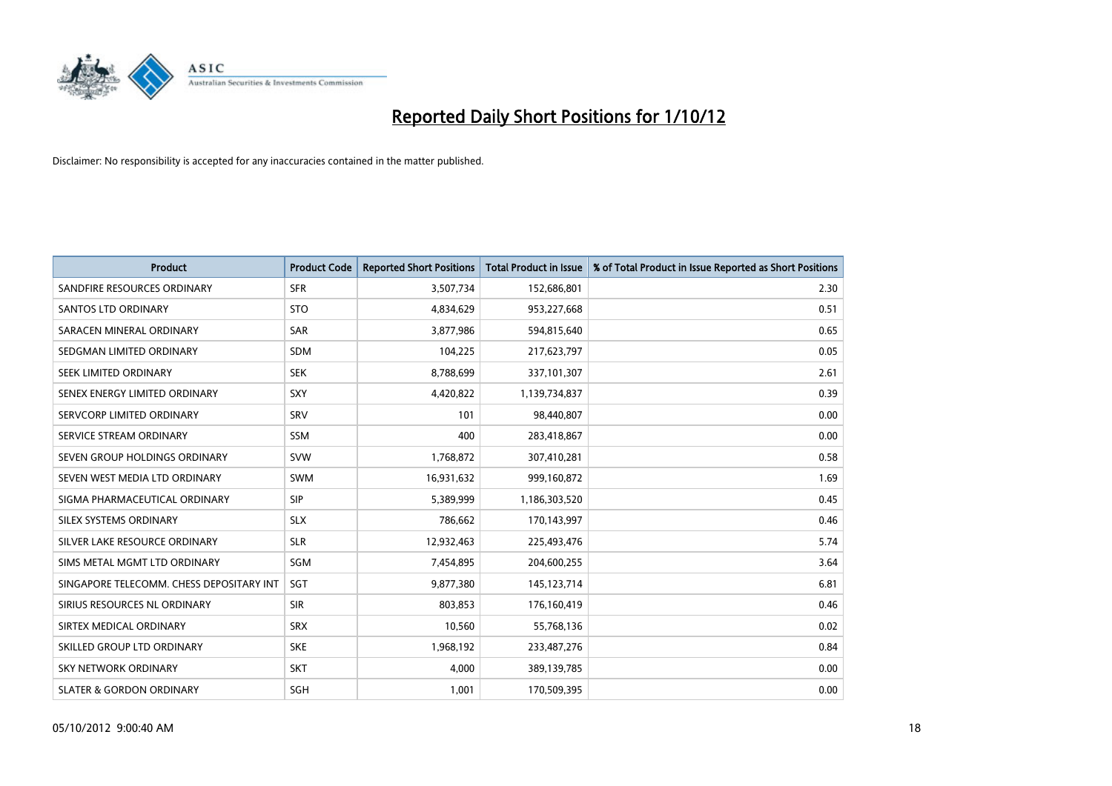

| <b>Product</b>                           | <b>Product Code</b> | <b>Reported Short Positions</b> | <b>Total Product in Issue</b> | % of Total Product in Issue Reported as Short Positions |
|------------------------------------------|---------------------|---------------------------------|-------------------------------|---------------------------------------------------------|
| SANDFIRE RESOURCES ORDINARY              | <b>SFR</b>          | 3,507,734                       | 152,686,801                   | 2.30                                                    |
| <b>SANTOS LTD ORDINARY</b>               | <b>STO</b>          | 4,834,629                       | 953,227,668                   | 0.51                                                    |
| SARACEN MINERAL ORDINARY                 | <b>SAR</b>          | 3,877,986                       | 594,815,640                   | 0.65                                                    |
| SEDGMAN LIMITED ORDINARY                 | <b>SDM</b>          | 104,225                         | 217,623,797                   | 0.05                                                    |
| SEEK LIMITED ORDINARY                    | <b>SEK</b>          | 8,788,699                       | 337,101,307                   | 2.61                                                    |
| SENEX ENERGY LIMITED ORDINARY            | SXY                 | 4,420,822                       | 1,139,734,837                 | 0.39                                                    |
| SERVCORP LIMITED ORDINARY                | SRV                 | 101                             | 98,440,807                    | 0.00                                                    |
| SERVICE STREAM ORDINARY                  | <b>SSM</b>          | 400                             | 283,418,867                   | 0.00                                                    |
| SEVEN GROUP HOLDINGS ORDINARY            | <b>SVW</b>          | 1,768,872                       | 307,410,281                   | 0.58                                                    |
| SEVEN WEST MEDIA LTD ORDINARY            | <b>SWM</b>          | 16,931,632                      | 999,160,872                   | 1.69                                                    |
| SIGMA PHARMACEUTICAL ORDINARY            | <b>SIP</b>          | 5,389,999                       | 1,186,303,520                 | 0.45                                                    |
| SILEX SYSTEMS ORDINARY                   | <b>SLX</b>          | 786,662                         | 170,143,997                   | 0.46                                                    |
| SILVER LAKE RESOURCE ORDINARY            | <b>SLR</b>          | 12,932,463                      | 225,493,476                   | 5.74                                                    |
| SIMS METAL MGMT LTD ORDINARY             | <b>SGM</b>          | 7,454,895                       | 204,600,255                   | 3.64                                                    |
| SINGAPORE TELECOMM. CHESS DEPOSITARY INT | <b>SGT</b>          | 9,877,380                       | 145, 123, 714                 | 6.81                                                    |
| SIRIUS RESOURCES NL ORDINARY             | <b>SIR</b>          | 803.853                         | 176,160,419                   | 0.46                                                    |
| SIRTEX MEDICAL ORDINARY                  | <b>SRX</b>          | 10,560                          | 55,768,136                    | 0.02                                                    |
| SKILLED GROUP LTD ORDINARY               | <b>SKE</b>          | 1,968,192                       | 233,487,276                   | 0.84                                                    |
| <b>SKY NETWORK ORDINARY</b>              | <b>SKT</b>          | 4,000                           | 389,139,785                   | 0.00                                                    |
| <b>SLATER &amp; GORDON ORDINARY</b>      | SGH                 | 1,001                           | 170,509,395                   | 0.00                                                    |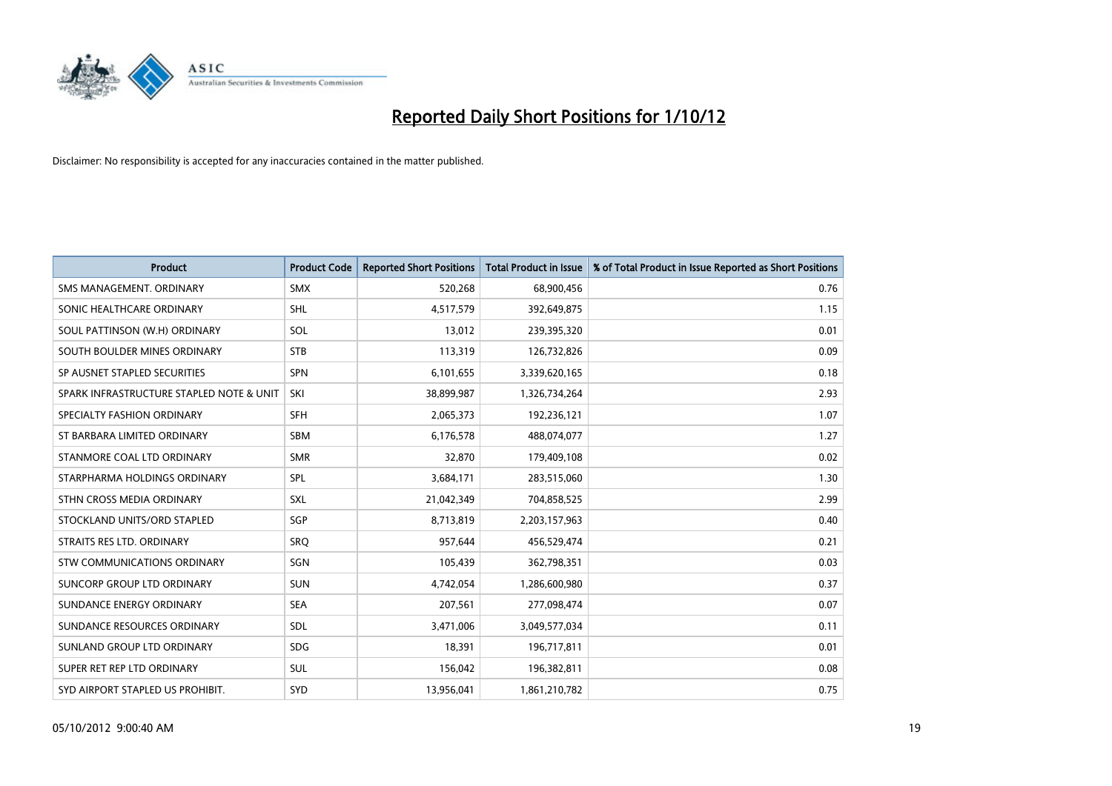

| <b>Product</b>                           | <b>Product Code</b> | <b>Reported Short Positions</b> | <b>Total Product in Issue</b> | % of Total Product in Issue Reported as Short Positions |
|------------------------------------------|---------------------|---------------------------------|-------------------------------|---------------------------------------------------------|
| SMS MANAGEMENT, ORDINARY                 | <b>SMX</b>          | 520,268                         | 68,900,456                    | 0.76                                                    |
| SONIC HEALTHCARE ORDINARY                | <b>SHL</b>          | 4,517,579                       | 392,649,875                   | 1.15                                                    |
| SOUL PATTINSON (W.H) ORDINARY            | SOL                 | 13,012                          | 239,395,320                   | 0.01                                                    |
| SOUTH BOULDER MINES ORDINARY             | <b>STB</b>          | 113,319                         | 126,732,826                   | 0.09                                                    |
| SP AUSNET STAPLED SECURITIES             | <b>SPN</b>          | 6,101,655                       | 3,339,620,165                 | 0.18                                                    |
| SPARK INFRASTRUCTURE STAPLED NOTE & UNIT | SKI                 | 38,899,987                      | 1,326,734,264                 | 2.93                                                    |
| SPECIALTY FASHION ORDINARY               | <b>SFH</b>          | 2,065,373                       | 192,236,121                   | 1.07                                                    |
| ST BARBARA LIMITED ORDINARY              | <b>SBM</b>          | 6,176,578                       | 488,074,077                   | 1.27                                                    |
| STANMORE COAL LTD ORDINARY               | <b>SMR</b>          | 32,870                          | 179,409,108                   | 0.02                                                    |
| STARPHARMA HOLDINGS ORDINARY             | SPL                 | 3,684,171                       | 283,515,060                   | 1.30                                                    |
| STHN CROSS MEDIA ORDINARY                | <b>SXL</b>          | 21,042,349                      | 704,858,525                   | 2.99                                                    |
| STOCKLAND UNITS/ORD STAPLED              | <b>SGP</b>          | 8,713,819                       | 2,203,157,963                 | 0.40                                                    |
| STRAITS RES LTD. ORDINARY                | SRO                 | 957,644                         | 456,529,474                   | 0.21                                                    |
| <b>STW COMMUNICATIONS ORDINARY</b>       | SGN                 | 105,439                         | 362,798,351                   | 0.03                                                    |
| SUNCORP GROUP LTD ORDINARY               | <b>SUN</b>          | 4,742,054                       | 1,286,600,980                 | 0.37                                                    |
| SUNDANCE ENERGY ORDINARY                 | <b>SEA</b>          | 207,561                         | 277,098,474                   | 0.07                                                    |
| SUNDANCE RESOURCES ORDINARY              | <b>SDL</b>          | 3,471,006                       | 3,049,577,034                 | 0.11                                                    |
| SUNLAND GROUP LTD ORDINARY               | <b>SDG</b>          | 18,391                          | 196,717,811                   | 0.01                                                    |
| SUPER RET REP LTD ORDINARY               | <b>SUL</b>          | 156,042                         | 196,382,811                   | 0.08                                                    |
| SYD AIRPORT STAPLED US PROHIBIT.         | <b>SYD</b>          | 13,956,041                      | 1,861,210,782                 | 0.75                                                    |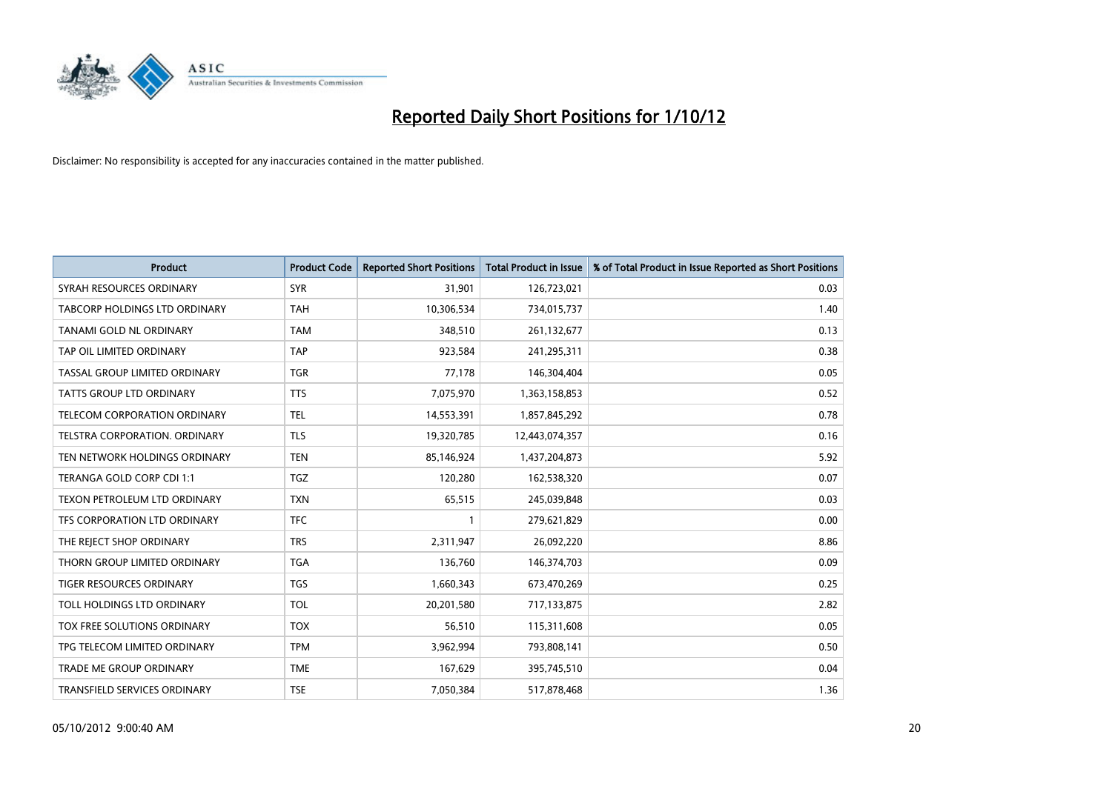

| <b>Product</b>                       | <b>Product Code</b> | <b>Reported Short Positions</b> | <b>Total Product in Issue</b> | % of Total Product in Issue Reported as Short Positions |
|--------------------------------------|---------------------|---------------------------------|-------------------------------|---------------------------------------------------------|
| SYRAH RESOURCES ORDINARY             | <b>SYR</b>          | 31,901                          | 126,723,021                   | 0.03                                                    |
| <b>TABCORP HOLDINGS LTD ORDINARY</b> | <b>TAH</b>          | 10,306,534                      | 734,015,737                   | 1.40                                                    |
| TANAMI GOLD NL ORDINARY              | <b>TAM</b>          | 348,510                         | 261,132,677                   | 0.13                                                    |
| TAP OIL LIMITED ORDINARY             | <b>TAP</b>          | 923,584                         | 241,295,311                   | 0.38                                                    |
| TASSAL GROUP LIMITED ORDINARY        | <b>TGR</b>          | 77,178                          | 146,304,404                   | 0.05                                                    |
| <b>TATTS GROUP LTD ORDINARY</b>      | <b>TTS</b>          | 7,075,970                       | 1,363,158,853                 | 0.52                                                    |
| TELECOM CORPORATION ORDINARY         | <b>TEL</b>          | 14,553,391                      | 1,857,845,292                 | 0.78                                                    |
| <b>TELSTRA CORPORATION, ORDINARY</b> | <b>TLS</b>          | 19,320,785                      | 12,443,074,357                | 0.16                                                    |
| TEN NETWORK HOLDINGS ORDINARY        | <b>TEN</b>          | 85,146,924                      | 1,437,204,873                 | 5.92                                                    |
| TERANGA GOLD CORP CDI 1:1            | <b>TGZ</b>          | 120,280                         | 162,538,320                   | 0.07                                                    |
| TEXON PETROLEUM LTD ORDINARY         | <b>TXN</b>          | 65,515                          | 245,039,848                   | 0.03                                                    |
| <b>TFS CORPORATION LTD ORDINARY</b>  | <b>TFC</b>          |                                 | 279,621,829                   | 0.00                                                    |
| THE REJECT SHOP ORDINARY             | <b>TRS</b>          | 2,311,947                       | 26,092,220                    | 8.86                                                    |
| THORN GROUP LIMITED ORDINARY         | <b>TGA</b>          | 136,760                         | 146,374,703                   | 0.09                                                    |
| <b>TIGER RESOURCES ORDINARY</b>      | <b>TGS</b>          | 1,660,343                       | 673,470,269                   | 0.25                                                    |
| TOLL HOLDINGS LTD ORDINARY           | <b>TOL</b>          | 20,201,580                      | 717,133,875                   | 2.82                                                    |
| TOX FREE SOLUTIONS ORDINARY          | <b>TOX</b>          | 56,510                          | 115,311,608                   | 0.05                                                    |
| TPG TELECOM LIMITED ORDINARY         | <b>TPM</b>          | 3,962,994                       | 793,808,141                   | 0.50                                                    |
| <b>TRADE ME GROUP ORDINARY</b>       | <b>TME</b>          | 167,629                         | 395,745,510                   | 0.04                                                    |
| <b>TRANSFIELD SERVICES ORDINARY</b>  | <b>TSE</b>          | 7,050,384                       | 517,878,468                   | 1.36                                                    |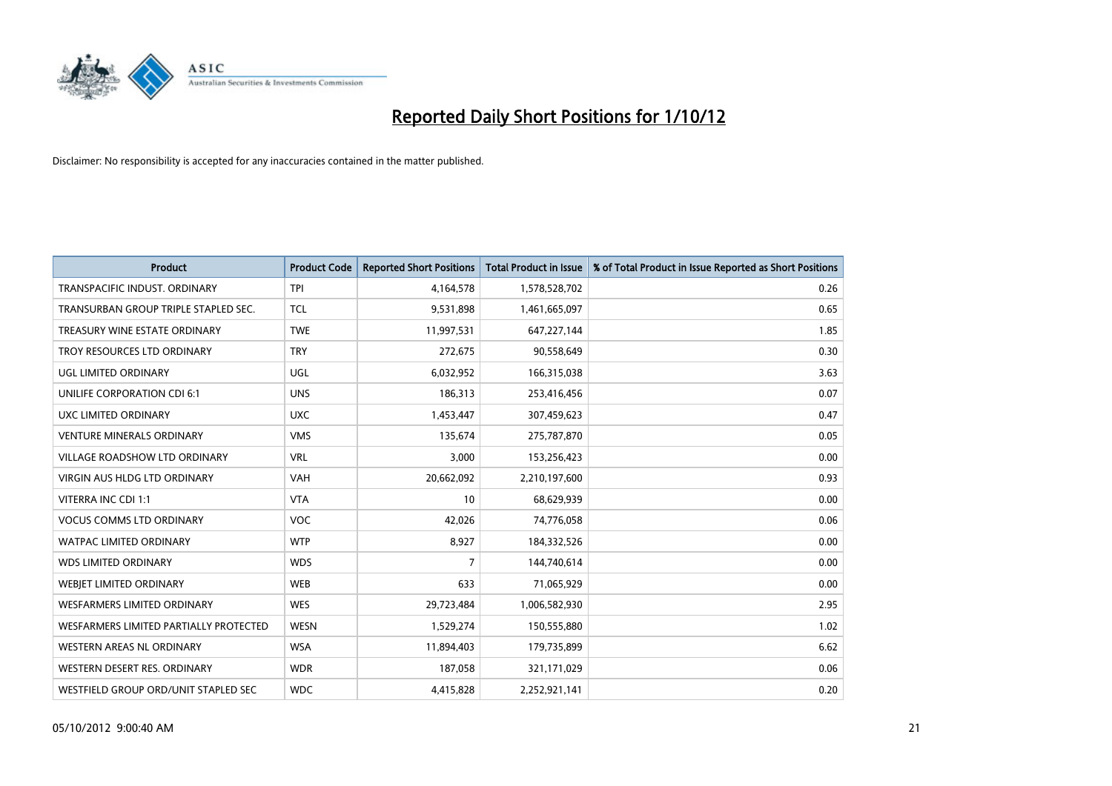

| <b>Product</b>                         | <b>Product Code</b> | <b>Reported Short Positions</b> | <b>Total Product in Issue</b> | % of Total Product in Issue Reported as Short Positions |
|----------------------------------------|---------------------|---------------------------------|-------------------------------|---------------------------------------------------------|
| TRANSPACIFIC INDUST, ORDINARY          | <b>TPI</b>          | 4,164,578                       | 1,578,528,702                 | 0.26                                                    |
| TRANSURBAN GROUP TRIPLE STAPLED SEC.   | <b>TCL</b>          | 9,531,898                       | 1,461,665,097                 | 0.65                                                    |
| TREASURY WINE ESTATE ORDINARY          | <b>TWE</b>          | 11,997,531                      | 647, 227, 144                 | 1.85                                                    |
| TROY RESOURCES LTD ORDINARY            | <b>TRY</b>          | 272,675                         | 90,558,649                    | 0.30                                                    |
| UGL LIMITED ORDINARY                   | UGL                 | 6,032,952                       | 166,315,038                   | 3.63                                                    |
| UNILIFE CORPORATION CDI 6:1            | <b>UNS</b>          | 186,313                         | 253,416,456                   | 0.07                                                    |
| UXC LIMITED ORDINARY                   | <b>UXC</b>          | 1,453,447                       | 307,459,623                   | 0.47                                                    |
| <b>VENTURE MINERALS ORDINARY</b>       | <b>VMS</b>          | 135,674                         | 275,787,870                   | 0.05                                                    |
| VILLAGE ROADSHOW LTD ORDINARY          | <b>VRL</b>          | 3,000                           | 153,256,423                   | 0.00                                                    |
| <b>VIRGIN AUS HLDG LTD ORDINARY</b>    | <b>VAH</b>          | 20,662,092                      | 2,210,197,600                 | 0.93                                                    |
| VITERRA INC CDI 1:1                    | <b>VTA</b>          | 10                              | 68,629,939                    | 0.00                                                    |
| <b>VOCUS COMMS LTD ORDINARY</b>        | <b>VOC</b>          | 42,026                          | 74,776,058                    | 0.06                                                    |
| <b>WATPAC LIMITED ORDINARY</b>         | <b>WTP</b>          | 8,927                           | 184,332,526                   | 0.00                                                    |
| <b>WDS LIMITED ORDINARY</b>            | <b>WDS</b>          | 7                               | 144,740,614                   | 0.00                                                    |
| WEBIET LIMITED ORDINARY                | <b>WEB</b>          | 633                             | 71,065,929                    | 0.00                                                    |
| <b>WESFARMERS LIMITED ORDINARY</b>     | <b>WES</b>          | 29,723,484                      | 1,006,582,930                 | 2.95                                                    |
| WESFARMERS LIMITED PARTIALLY PROTECTED | <b>WESN</b>         | 1,529,274                       | 150,555,880                   | 1.02                                                    |
| WESTERN AREAS NL ORDINARY              | <b>WSA</b>          | 11,894,403                      | 179,735,899                   | 6.62                                                    |
| WESTERN DESERT RES. ORDINARY           | <b>WDR</b>          | 187,058                         | 321,171,029                   | 0.06                                                    |
| WESTFIELD GROUP ORD/UNIT STAPLED SEC   | <b>WDC</b>          | 4,415,828                       | 2,252,921,141                 | 0.20                                                    |